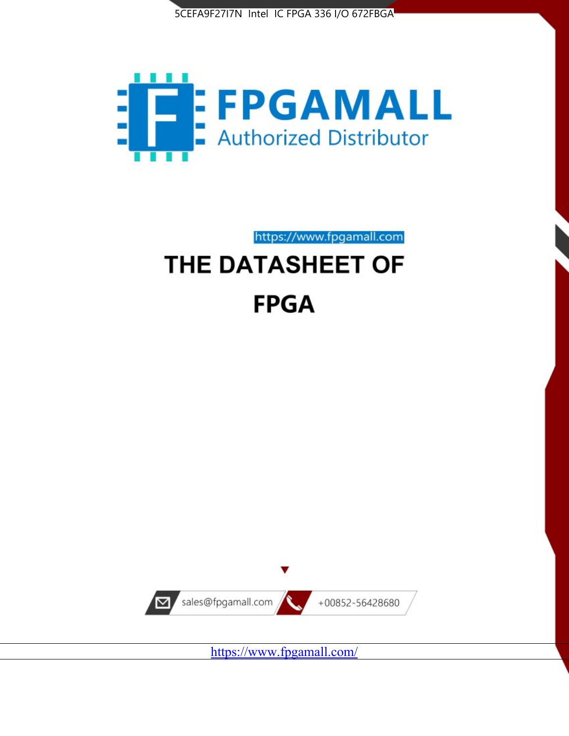



https://www.fpgamall.com

# THE DATASHEET OF **FPGA**



<https://www.fpgamall.com/>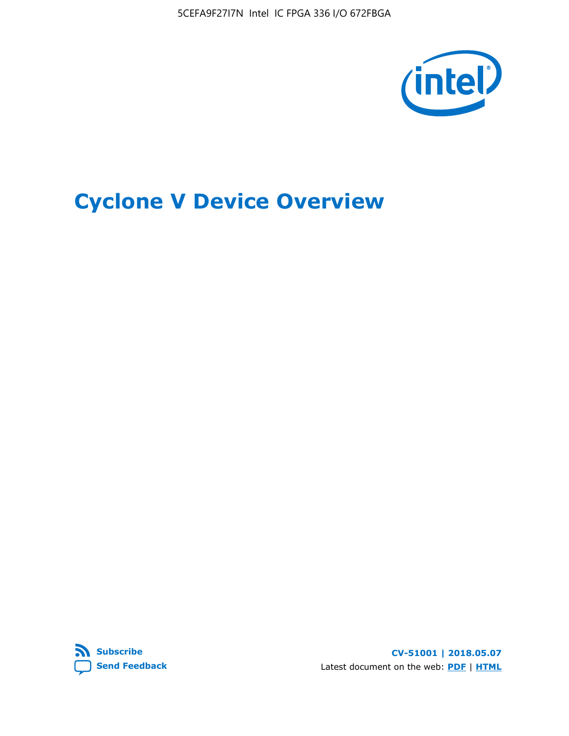

# **Cyclone V Device Overview**



**CV-51001 | 2018.05.07** Latest document on the web: **[PDF](https://www.altera.com/en_US/pdfs/literature/hb/cyclone-v/cv_51001.pdf)** | **[HTML](https://www.altera.com/documentation/sam1403480548153.html)**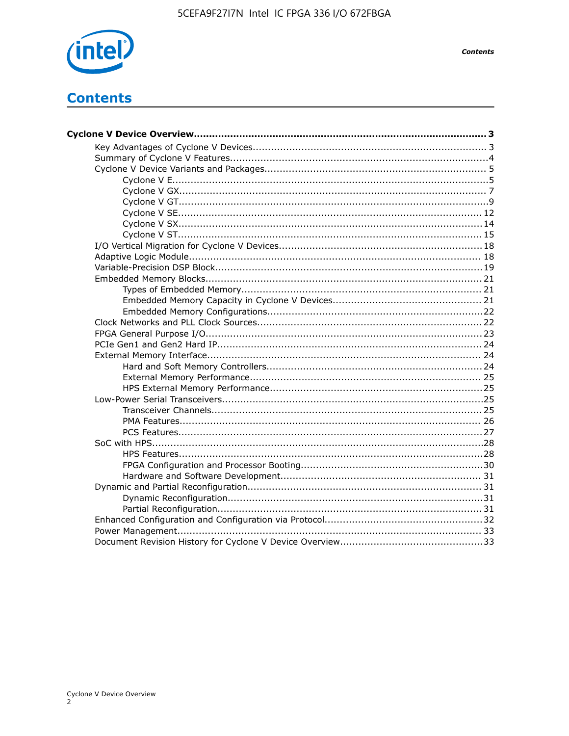

**Contents** 

## **Contents**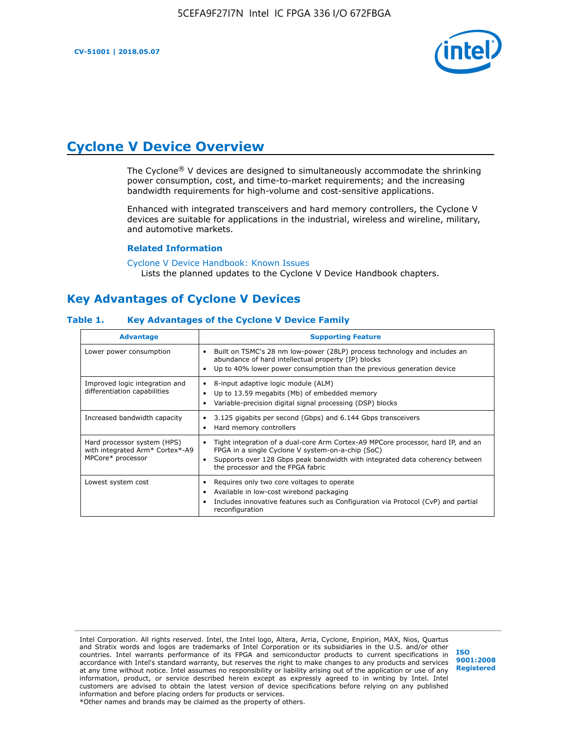

## **Cyclone V Device Overview**

The Cyclone® V devices are designed to simultaneously accommodate the shrinking power consumption, cost, and time-to-market requirements; and the increasing bandwidth requirements for high-volume and cost-sensitive applications.

Enhanced with integrated transceivers and hard memory controllers, the Cyclone V devices are suitable for applications in the industrial, wireless and wireline, military, and automotive markets.

#### **Related Information**

[Cyclone V Device Handbook: Known Issues](https://www.altera.com/support/support-resources/knowledge-base/solutions/rd12152011_347.html) Lists the planned updates to the Cyclone V Device Handbook chapters.

## **Key Advantages of Cyclone V Devices**

#### **Table 1. Key Advantages of the Cyclone V Device Family**

| <b>Advantage</b>                                                                    | <b>Supporting Feature</b>                                                                                                                                                                                                                                                    |
|-------------------------------------------------------------------------------------|------------------------------------------------------------------------------------------------------------------------------------------------------------------------------------------------------------------------------------------------------------------------------|
| Lower power consumption                                                             | Built on TSMC's 28 nm low-power (28LP) process technology and includes an<br>$\bullet$<br>abundance of hard intellectual property (IP) blocks<br>Up to 40% lower power consumption than the previous generation device                                                       |
| Improved logic integration and<br>differentiation capabilities                      | 8-input adaptive logic module (ALM)<br>٠<br>Up to 13.59 megabits (Mb) of embedded memory<br>٠<br>Variable-precision digital signal processing (DSP) blocks                                                                                                                   |
| Increased bandwidth capacity                                                        | 3.125 gigabits per second (Gbps) and 6.144 Gbps transceivers<br>٠<br>Hard memory controllers<br>٠                                                                                                                                                                            |
| Hard processor system (HPS)<br>with integrated Arm* Cortex*-A9<br>MPCore* processor | Tight integration of a dual-core Arm Cortex-A9 MPCore processor, hard IP, and an<br>$\bullet$<br>FPGA in a single Cyclone V system-on-a-chip (SoC)<br>Supports over 128 Gbps peak bandwidth with integrated data coherency between<br>٠<br>the processor and the FPGA fabric |
| Lowest system cost                                                                  | Requires only two core voltages to operate<br>٠<br>Available in low-cost wirebond packaging<br>٠<br>Includes innovative features such as Configuration via Protocol (CvP) and partial<br>٠<br>reconfiguration                                                                |

Intel Corporation. All rights reserved. Intel, the Intel logo, Altera, Arria, Cyclone, Enpirion, MAX, Nios, Quartus and Stratix words and logos are trademarks of Intel Corporation or its subsidiaries in the U.S. and/or other countries. Intel warrants performance of its FPGA and semiconductor products to current specifications in accordance with Intel's standard warranty, but reserves the right to make changes to any products and services at any time without notice. Intel assumes no responsibility or liability arising out of the application or use of any information, product, or service described herein except as expressly agreed to in writing by Intel. Intel customers are advised to obtain the latest version of device specifications before relying on any published information and before placing orders for products or services. \*Other names and brands may be claimed as the property of others.

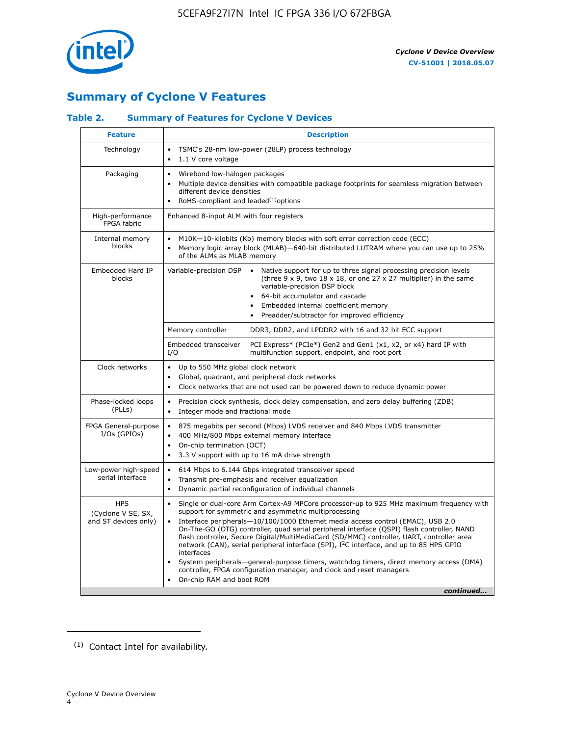

## **Summary of Cyclone V Features**

#### **Table 2. Summary of Features for Cyclone V Devices**

| <b>Feature</b>                                           | <b>Description</b>                                                                                                                                                                                                                                                                                                                        |                                                                                                                                                                                                                                                                                                                                                                                                                                                                                                                                                                                                                                                                                                         |  |  |  |  |  |  |
|----------------------------------------------------------|-------------------------------------------------------------------------------------------------------------------------------------------------------------------------------------------------------------------------------------------------------------------------------------------------------------------------------------------|---------------------------------------------------------------------------------------------------------------------------------------------------------------------------------------------------------------------------------------------------------------------------------------------------------------------------------------------------------------------------------------------------------------------------------------------------------------------------------------------------------------------------------------------------------------------------------------------------------------------------------------------------------------------------------------------------------|--|--|--|--|--|--|
| Technology                                               | TSMC's 28-nm low-power (28LP) process technology<br>$\bullet$<br>1.1 V core voltage<br>$\bullet$                                                                                                                                                                                                                                          |                                                                                                                                                                                                                                                                                                                                                                                                                                                                                                                                                                                                                                                                                                         |  |  |  |  |  |  |
| Packaging                                                | $\bullet$                                                                                                                                                                                                                                                                                                                                 | Wirebond low-halogen packages<br>Multiple device densities with compatible package footprints for seamless migration between<br>different device densities<br>RoHS-compliant and leaded $(1)$ options                                                                                                                                                                                                                                                                                                                                                                                                                                                                                                   |  |  |  |  |  |  |
| High-performance<br>FPGA fabric                          | Enhanced 8-input ALM with four registers                                                                                                                                                                                                                                                                                                  |                                                                                                                                                                                                                                                                                                                                                                                                                                                                                                                                                                                                                                                                                                         |  |  |  |  |  |  |
| Internal memory<br>blocks                                | of the ALMs as MLAB memory                                                                                                                                                                                                                                                                                                                | M10K-10-kilobits (Kb) memory blocks with soft error correction code (ECC)<br>Memory logic array block (MLAB)-640-bit distributed LUTRAM where you can use up to 25%                                                                                                                                                                                                                                                                                                                                                                                                                                                                                                                                     |  |  |  |  |  |  |
| Embedded Hard IP<br>blocks                               | Variable-precision DSP<br>Native support for up to three signal processing precision levels<br>(three $9 \times 9$ , two $18 \times 18$ , or one 27 x 27 multiplier) in the same<br>variable-precision DSP block<br>64-bit accumulator and cascade<br>Embedded internal coefficient memory<br>Preadder/subtractor for improved efficiency |                                                                                                                                                                                                                                                                                                                                                                                                                                                                                                                                                                                                                                                                                                         |  |  |  |  |  |  |
|                                                          | Memory controller                                                                                                                                                                                                                                                                                                                         | DDR3, DDR2, and LPDDR2 with 16 and 32 bit ECC support                                                                                                                                                                                                                                                                                                                                                                                                                                                                                                                                                                                                                                                   |  |  |  |  |  |  |
|                                                          | Embedded transceiver<br>I/O                                                                                                                                                                                                                                                                                                               | PCI Express* (PCIe*) Gen2 and Gen1 (x1, x2, or x4) hard IP with<br>multifunction support, endpoint, and root port                                                                                                                                                                                                                                                                                                                                                                                                                                                                                                                                                                                       |  |  |  |  |  |  |
| Clock networks                                           | Up to 550 MHz global clock network<br>$\bullet$<br>$\bullet$                                                                                                                                                                                                                                                                              | Global, quadrant, and peripheral clock networks<br>Clock networks that are not used can be powered down to reduce dynamic power                                                                                                                                                                                                                                                                                                                                                                                                                                                                                                                                                                         |  |  |  |  |  |  |
| Phase-locked loops<br>(PLLs)                             | $\bullet$<br>Integer mode and fractional mode<br>$\bullet$                                                                                                                                                                                                                                                                                | Precision clock synthesis, clock delay compensation, and zero delay buffering (ZDB)                                                                                                                                                                                                                                                                                                                                                                                                                                                                                                                                                                                                                     |  |  |  |  |  |  |
| FPGA General-purpose<br>$I/Os$ (GPIOs)                   | $\bullet$<br>$\bullet$<br>On-chip termination (OCT)<br>$\bullet$                                                                                                                                                                                                                                                                          | 875 megabits per second (Mbps) LVDS receiver and 840 Mbps LVDS transmitter<br>400 MHz/800 Mbps external memory interface<br>3.3 V support with up to 16 mA drive strength                                                                                                                                                                                                                                                                                                                                                                                                                                                                                                                               |  |  |  |  |  |  |
| Low-power high-speed<br>serial interface                 | 614 Mbps to 6.144 Gbps integrated transceiver speed<br>$\bullet$<br>Transmit pre-emphasis and receiver equalization<br>$\bullet$<br>Dynamic partial reconfiguration of individual channels<br>$\bullet$                                                                                                                                   |                                                                                                                                                                                                                                                                                                                                                                                                                                                                                                                                                                                                                                                                                                         |  |  |  |  |  |  |
| <b>HPS</b><br>(Cyclone V SE, SX,<br>and ST devices only) | $\bullet$<br>$\bullet$<br>interfaces<br>On-chip RAM and boot ROM                                                                                                                                                                                                                                                                          | Single or dual-core Arm Cortex-A9 MPCore processor-up to 925 MHz maximum frequency with<br>support for symmetric and asymmetric multiprocessing<br>Interface peripherals-10/100/1000 Ethernet media access control (EMAC), USB 2.0<br>On-The-GO (OTG) controller, quad serial peripheral interface (QSPI) flash controller, NAND<br>flash controller, Secure Digital/MultiMediaCard (SD/MMC) controller, UART, controller area<br>network (CAN), serial peripheral interface (SPI), I <sup>2</sup> C interface, and up to 85 HPS GPIO<br>System peripherals—general-purpose timers, watchdog timers, direct memory access (DMA)<br>controller, FPGA configuration manager, and clock and reset managers |  |  |  |  |  |  |
|                                                          |                                                                                                                                                                                                                                                                                                                                           | continued                                                                                                                                                                                                                                                                                                                                                                                                                                                                                                                                                                                                                                                                                               |  |  |  |  |  |  |

<sup>(1)</sup> Contact Intel for availability.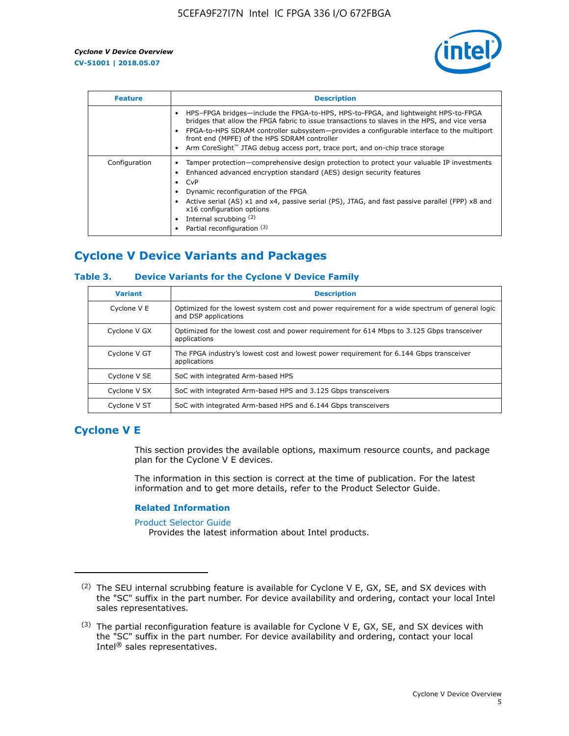

| <b>Feature</b> | <b>Description</b>                                                                                                                                                                                                                                                                                                                                                                                                           |
|----------------|------------------------------------------------------------------------------------------------------------------------------------------------------------------------------------------------------------------------------------------------------------------------------------------------------------------------------------------------------------------------------------------------------------------------------|
|                | HPS-FPGA bridges—include the FPGA-to-HPS, HPS-to-FPGA, and lightweight HPS-to-FPGA<br>bridges that allow the FPGA fabric to issue transactions to slaves in the HPS, and vice versa<br>FPGA-to-HPS SDRAM controller subsystem—provides a configurable interface to the multiport<br>front end (MPFE) of the HPS SDRAM controller<br>Arm CoreSight <sup>™</sup> JTAG debug access port, trace port, and on-chip trace storage |
| Configuration  | Tamper protection—comprehensive design protection to protect your valuable IP investments<br>Enhanced advanced encryption standard (AES) design security features<br>CvP<br>$\bullet$<br>Dynamic reconfiguration of the FPGA<br>Active serial (AS) x1 and x4, passive serial (PS), JTAG, and fast passive parallel (FPP) x8 and<br>x16 configuration options<br>Internal scrubbing (2)<br>Partial reconfiguration (3)        |

## **Cyclone V Device Variants and Packages**

#### **Table 3. Device Variants for the Cyclone V Device Family**

| <b>Variant</b> | <b>Description</b>                                                                                                      |
|----------------|-------------------------------------------------------------------------------------------------------------------------|
| Cyclone V E    | Optimized for the lowest system cost and power requirement for a wide spectrum of general logic<br>and DSP applications |
| Cyclone V GX   | Optimized for the lowest cost and power requirement for 614 Mbps to 3.125 Gbps transceiver<br>applications              |
| Cyclone V GT   | The FPGA industry's lowest cost and lowest power requirement for 6.144 Gbps transceiver<br>applications                 |
| Cyclone V SE   | SoC with integrated Arm-based HPS                                                                                       |
| Cyclone V SX   | SoC with integrated Arm-based HPS and 3.125 Gbps transceivers                                                           |
| Cyclone V ST   | SoC with integrated Arm-based HPS and 6.144 Gbps transceivers                                                           |

## **Cyclone V E**

This section provides the available options, maximum resource counts, and package plan for the Cyclone V E devices.

The information in this section is correct at the time of publication. For the latest information and to get more details, refer to the Product Selector Guide.

#### **Related Information**

[Product Selector Guide](https://www.altera.com/products/product-selector-guide.html)

Provides the latest information about Intel products.

<sup>(2)</sup> The SEU internal scrubbing feature is available for Cyclone V E, GX, SE, and SX devices with the "SC" suffix in the part number. For device availability and ordering, contact your local Intel sales representatives.

 $(3)$  The partial reconfiguration feature is available for Cyclone V E, GX, SE, and SX devices with the "SC" suffix in the part number. For device availability and ordering, contact your local Intel® sales representatives.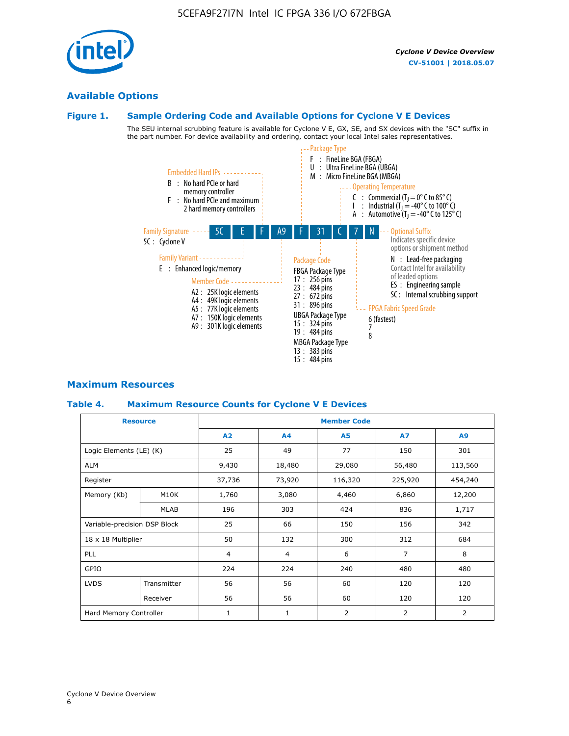

## **Available Options**

#### **Figure 1. Sample Ordering Code and Available Options for Cyclone V E Devices**

The SEU internal scrubbing feature is available for Cyclone V E, GX, SE, and SX devices with the "SC" suffix in the part number. For device availability and ordering, contact your local Intel sales representatives.



#### **Maximum Resources**

#### **Table 4. Maximum Resource Counts for Cyclone V E Devices**

| <b>Resource</b>         |                              | <b>Member Code</b> |                |           |                |                |  |  |
|-------------------------|------------------------------|--------------------|----------------|-----------|----------------|----------------|--|--|
|                         |                              | <b>A2</b>          | A <sub>4</sub> | <b>A5</b> | <b>A7</b>      | A9             |  |  |
| Logic Elements (LE) (K) |                              | 25                 | 49             | 77        | 150            | 301            |  |  |
| ALM                     |                              | 9,430              | 18,480         | 29,080    | 56,480         | 113,560        |  |  |
| Register                |                              | 37,736             | 73,920         | 116,320   | 225,920        | 454,240        |  |  |
| Memory (Kb)             | M10K                         | 1,760              | 3,080          | 4,460     | 6,860          | 12,200         |  |  |
|                         | <b>MLAB</b>                  | 196                | 303            | 424       | 836            | 1,717          |  |  |
|                         | Variable-precision DSP Block |                    | 66             | 150       | 156            | 342            |  |  |
| 18 x 18 Multiplier      |                              | 50                 | 132            | 300       | 312            | 684            |  |  |
| PLL                     |                              | $\overline{4}$     | $\overline{4}$ | 6         | $\overline{7}$ | 8              |  |  |
| GPIO                    |                              | 224                | 224            | 240       | 480            | 480            |  |  |
| <b>LVDS</b>             | Transmitter                  | 56                 | 56             | 60        | 120            | 120            |  |  |
|                         | Receiver                     | 56                 | 56             | 60        | 120            | 120            |  |  |
| Hard Memory Controller  |                              | $\mathbf{1}$       | $\mathbf{1}$   | 2         | $\overline{2}$ | $\overline{2}$ |  |  |

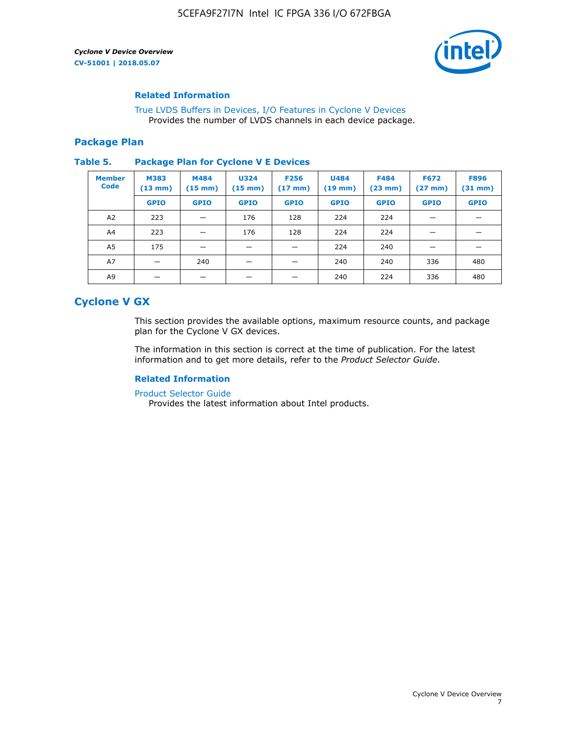

#### **Related Information**

[True LVDS Buffers in Devices, I/O Features in Cyclone V Devices](https://www.altera.com/documentation/sam1403481100977.html#sam1403480885395) Provides the number of LVDS channels in each device package.

#### **Package Plan**

#### **Table 5. Package Plan for Cyclone V E Devices**

| <b>Member</b><br><b>Code</b> | <b>M383</b><br>$(13 \text{ mm})$ | M484<br>$(15 \text{ mm})$ | <b>U324</b><br>$(15 \text{ mm})$ | <b>F256</b><br>$(17 \text{ mm})$ | <b>U484</b><br>$(19$ mm) | <b>F484</b><br>$(23$ mm $)$ | <b>F672</b><br>$(27 \text{ mm})$ | <b>F896</b><br>$(31 \text{ mm})$ |
|------------------------------|----------------------------------|---------------------------|----------------------------------|----------------------------------|--------------------------|-----------------------------|----------------------------------|----------------------------------|
|                              | <b>GPIO</b>                      | <b>GPIO</b>               | <b>GPIO</b>                      | <b>GPIO</b>                      | <b>GPIO</b>              | <b>GPIO</b>                 | <b>GPIO</b>                      | <b>GPIO</b>                      |
| A <sub>2</sub>               | 223                              |                           | 176                              | 128                              | 224                      | 224                         |                                  |                                  |
| A4                           | 223                              |                           | 176                              | 128                              | 224                      | 224                         | –                                |                                  |
| A <sub>5</sub>               | 175                              |                           |                                  |                                  | 224                      | 240                         |                                  |                                  |
| A7                           |                                  | 240                       |                                  |                                  | 240                      | 240                         | 336                              | 480                              |
| A9                           |                                  |                           |                                  |                                  | 240                      | 224                         | 336                              | 480                              |

## **Cyclone V GX**

This section provides the available options, maximum resource counts, and package plan for the Cyclone V GX devices.

The information in this section is correct at the time of publication. For the latest information and to get more details, refer to the *Product Selector Guide*.

#### **Related Information**

[Product Selector Guide](https://www.altera.com/products/product-selector-guide.html)

Provides the latest information about Intel products.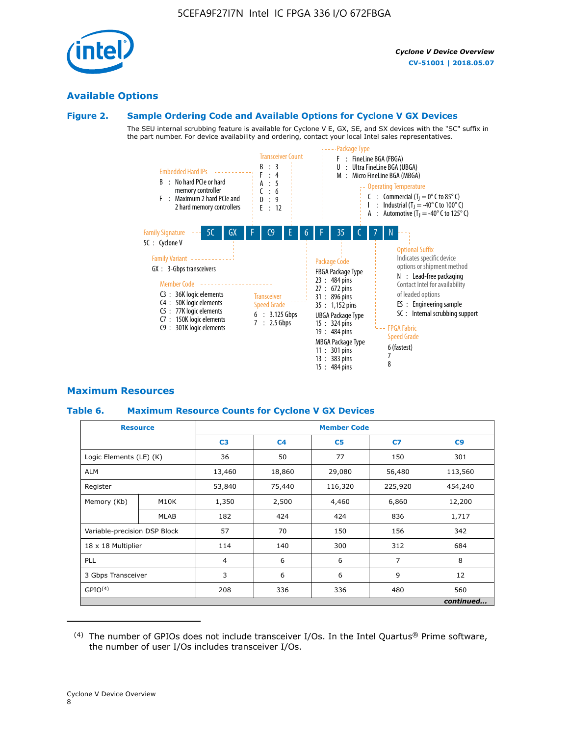

#### **Available Options**

#### **Figure 2. Sample Ordering Code and Available Options for Cyclone V GX Devices**

The SEU internal scrubbing feature is available for Cyclone V E, GX, SE, and SX devices with the "SC" suffix in the part number. For device availability and ordering, contact your local Intel sales representatives.



#### **Maximum Resources**

#### **Table 6. Maximum Resource Counts for Cyclone V GX Devices**

|                              | <b>Resource</b> | <b>Member Code</b> |                |                |                |           |  |  |
|------------------------------|-----------------|--------------------|----------------|----------------|----------------|-----------|--|--|
|                              |                 | C <sub>3</sub>     | C <sub>4</sub> | C <sub>5</sub> | C7             | C9        |  |  |
| Logic Elements (LE) (K)      |                 | 36                 | 50             | 77             | 150            | 301       |  |  |
| <b>ALM</b>                   |                 | 13,460             | 18,860         | 29,080         | 56,480         | 113,560   |  |  |
| Register                     |                 | 53,840             | 75,440         | 116,320        | 225,920        | 454,240   |  |  |
| Memory (Kb)                  | M10K            | 1,350              | 2,500          | 4,460          | 6,860          | 12,200    |  |  |
|                              | <b>MLAB</b>     | 182                | 424            | 424            | 836            | 1,717     |  |  |
| Variable-precision DSP Block |                 | 57                 | 70             | 150            | 156            | 342       |  |  |
| 18 x 18 Multiplier           |                 | 114                | 140            | 300            | 312            | 684       |  |  |
| PLL                          |                 | $\overline{4}$     | 6              | 6              | $\overline{7}$ | 8         |  |  |
| 3 Gbps Transceiver           |                 | 3                  | 6              | 6              | 9              | 12        |  |  |
| GPIO <sup>(4)</sup>          |                 | 208                | 336            | 336            | 480            | 560       |  |  |
|                              |                 |                    |                |                |                | continued |  |  |

 $(4)$  The number of GPIOs does not include transceiver I/Os. In the Intel Quartus® Prime software, the number of user I/Os includes transceiver I/Os.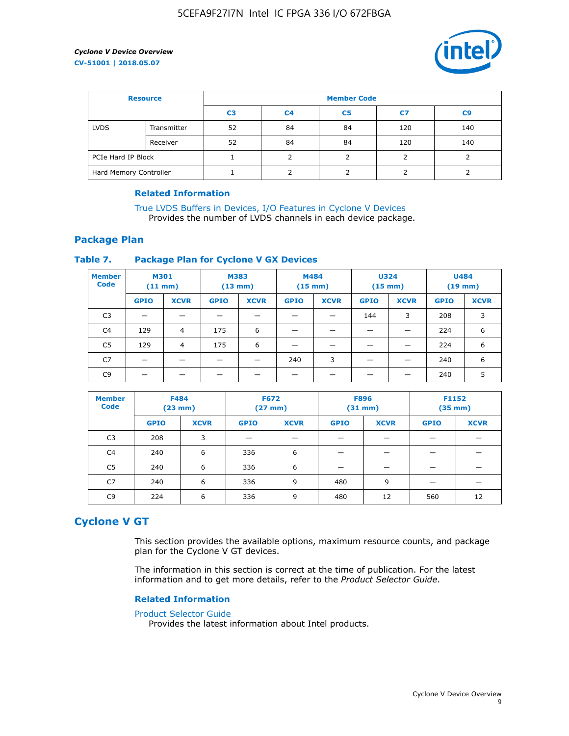

| <b>Resource</b>        |             | <b>Member Code</b> |                |    |     |                |  |  |  |
|------------------------|-------------|--------------------|----------------|----|-----|----------------|--|--|--|
|                        |             | C <sub>3</sub>     | C <sub>4</sub> | C5 | C7  | C <sub>9</sub> |  |  |  |
| <b>LVDS</b>            | Transmitter | 52                 | 84             | 84 | 120 | 140            |  |  |  |
|                        | Receiver    | 52                 | 84             | 84 | 120 | 140            |  |  |  |
| PCIe Hard IP Block     |             |                    |                |    |     |                |  |  |  |
| Hard Memory Controller |             |                    |                |    |     |                |  |  |  |

#### **Related Information**

[True LVDS Buffers in Devices, I/O Features in Cyclone V Devices](https://www.altera.com/documentation/sam1403481100977.html#sam1403480885395) Provides the number of LVDS channels in each device package.

#### **Package Plan**

#### **Table 7. Package Plan for Cyclone V GX Devices**

| <b>Member</b><br><b>Code</b> | <b>M301</b><br>$(11$ mm) |                | <b>M383</b><br>$(13 \text{ mm})$ |             | M484        | $(15 \text{ mm})$ | <b>U324</b><br>$(15 \text{ mm})$ |             | <b>U484</b><br>$(19$ mm) |             |
|------------------------------|--------------------------|----------------|----------------------------------|-------------|-------------|-------------------|----------------------------------|-------------|--------------------------|-------------|
|                              | <b>GPIO</b>              | <b>XCVR</b>    | <b>GPIO</b>                      | <b>XCVR</b> | <b>GPIO</b> | <b>XCVR</b>       | <b>GPIO</b>                      | <b>XCVR</b> | <b>GPIO</b>              | <b>XCVR</b> |
| C <sub>3</sub>               |                          |                |                                  |             |             |                   | 144                              | 3           | 208                      | 3           |
| C <sub>4</sub>               | 129                      | $\overline{4}$ | 175                              | 6           |             |                   | –                                |             | 224                      | 6           |
| C5                           | 129                      | 4              | 175                              | 6           |             |                   |                                  |             | 224                      | 6           |
| C7                           | _                        |                |                                  |             | 240         | 3                 |                                  |             | 240                      | 6           |
| C <sub>9</sub>               |                          |                |                                  |             |             |                   |                                  |             | 240                      | 5           |

| <b>Member</b><br><b>Code</b> | <b>F484</b> | $(23$ mm)   | <b>F672</b> | $(27$ mm $)$ | <b>F896</b><br>$(31 \text{ mm})$ |             | F1152<br>$(35 \text{ mm})$ |             |
|------------------------------|-------------|-------------|-------------|--------------|----------------------------------|-------------|----------------------------|-------------|
|                              | <b>GPIO</b> | <b>XCVR</b> | <b>GPIO</b> | <b>XCVR</b>  | <b>GPIO</b>                      | <b>XCVR</b> | <b>GPIO</b>                | <b>XCVR</b> |
| C <sub>3</sub>               | 208         | 3           |             |              |                                  |             |                            |             |
| C4                           | 240         | 6           | 336         | 6            |                                  |             |                            |             |
| C5                           | 240         | 6           | 336         | 6            |                                  |             |                            |             |
| C <sub>7</sub>               | 240         | 6           | 336         | 9            | 480                              | 9           |                            |             |
| C <sub>9</sub>               | 224         | 6           | 336         | 9            | 480                              | 12          | 560                        | 12          |

#### **Cyclone V GT**

This section provides the available options, maximum resource counts, and package plan for the Cyclone V GT devices.

The information in this section is correct at the time of publication. For the latest information and to get more details, refer to the *Product Selector Guide*.

#### **Related Information**

#### [Product Selector Guide](https://www.altera.com/products/product-selector-guide.html)

Provides the latest information about Intel products.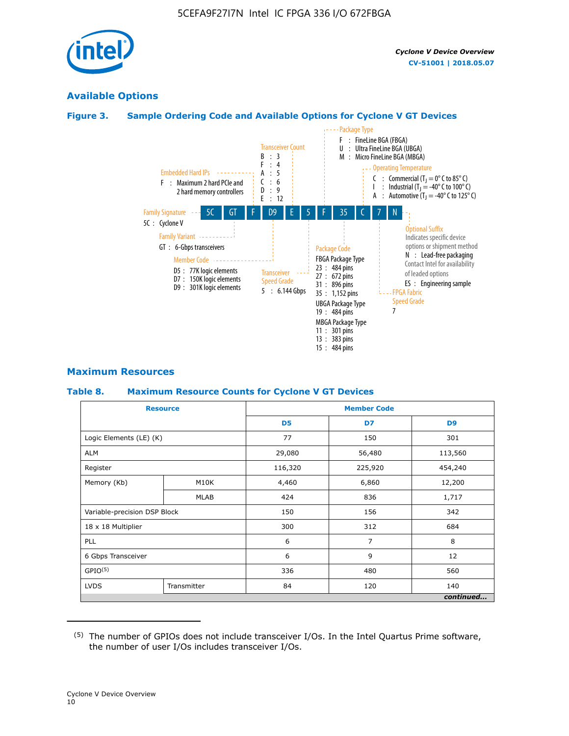

### **Available Options**

#### **Figure 3. Sample Ordering Code and Available Options for Cyclone V GT Devices**



#### **Maximum Resources**

#### **Table 8. Maximum Resource Counts for Cyclone V GT Devices**

|                              | <b>Resource</b> | <b>Member Code</b> |         |                |  |  |
|------------------------------|-----------------|--------------------|---------|----------------|--|--|
|                              |                 | D <sub>5</sub>     | D7      | D <sub>9</sub> |  |  |
| Logic Elements (LE) (K)      |                 | 77                 | 150     | 301            |  |  |
| <b>ALM</b>                   |                 | 29,080             | 56,480  | 113,560        |  |  |
| Register                     |                 | 116,320            | 225,920 | 454,240        |  |  |
| Memory (Kb)                  | M10K            | 4,460              | 6,860   | 12,200         |  |  |
|                              | <b>MLAB</b>     | 424                | 836     | 1,717          |  |  |
| Variable-precision DSP Block |                 | 150                | 156     | 342            |  |  |
| 18 x 18 Multiplier           |                 | 300                | 312     | 684            |  |  |
| PLL                          |                 | 6                  | 7       | 8              |  |  |
| 6 Gbps Transceiver           |                 | 6                  | 9       | 12             |  |  |
| GPIO <sup>(5)</sup>          |                 | 336                | 480     | 560            |  |  |
| <b>LVDS</b>                  | Transmitter     | 84                 | 120     | 140            |  |  |
|                              |                 |                    |         | continued      |  |  |

<sup>(5)</sup> The number of GPIOs does not include transceiver I/Os. In the Intel Quartus Prime software, the number of user I/Os includes transceiver I/Os.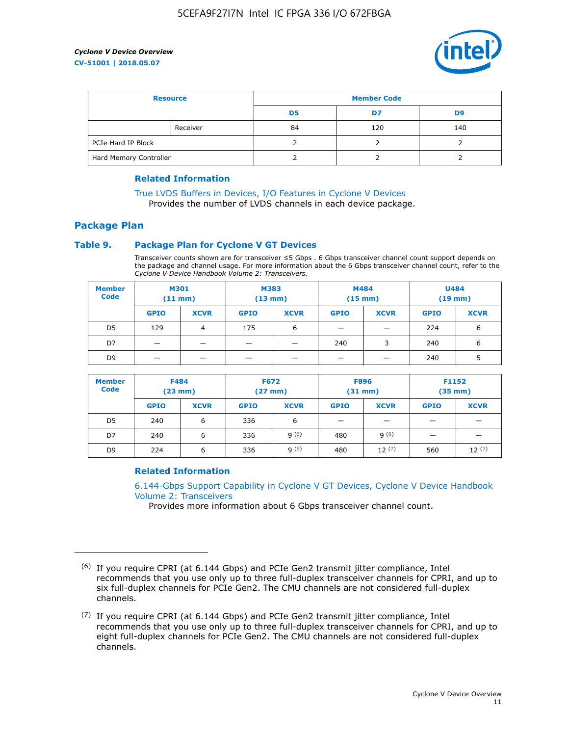

| <b>Resource</b>        |          | <b>Member Code</b> |     |     |  |  |
|------------------------|----------|--------------------|-----|-----|--|--|
|                        |          | D <sub>5</sub>     | D7  | D9  |  |  |
|                        | Receiver | 84                 | 120 | 140 |  |  |
| PCIe Hard IP Block     |          |                    |     |     |  |  |
| Hard Memory Controller |          |                    |     |     |  |  |

#### **Related Information**

[True LVDS Buffers in Devices, I/O Features in Cyclone V Devices](https://www.altera.com/documentation/sam1403481100977.html#sam1403480885395) Provides the number of LVDS channels in each device package.

## **Package Plan**

#### **Table 9. Package Plan for Cyclone V GT Devices**

Transceiver counts shown are for transceiver ≤5 Gbps . 6 Gbps transceiver channel count support depends on the package and channel usage. For more information about the 6 Gbps transceiver channel count, refer to the *Cyclone V Device Handbook Volume 2: Transceivers*.

| <b>Member</b><br><b>Code</b> | <b>M301</b><br>(11 mm)   |                | M383<br>$(13 \text{ mm})$ |             | M484<br>$(15 \text{ mm})$ |             | <b>U484</b><br>$(19$ mm) |             |
|------------------------------|--------------------------|----------------|---------------------------|-------------|---------------------------|-------------|--------------------------|-------------|
|                              | <b>GPIO</b>              | <b>XCVR</b>    | <b>GPIO</b>               | <b>XCVR</b> | <b>GPIO</b>               | <b>XCVR</b> | <b>GPIO</b>              | <b>XCVR</b> |
| D <sub>5</sub>               | 129                      | $\overline{4}$ | 175                       | 6           | -                         | -           | 224                      | 6           |
| D7                           | -                        | -              |                           |             | 240                       | 3           | 240                      | 6           |
| D <sub>9</sub>               | $\overline{\phantom{0}}$ | _              |                           |             | -                         |             | 240                      | 5           |

| <b>Member</b><br><b>Code</b> | <b>F484</b><br>$(23 \text{ mm})$ |             | <b>F672</b><br>$(27 \text{ mm})$ |             | <b>F896</b><br>$(31 \text{ mm})$ |             | F1152<br>$(35$ mm $)$    |             |
|------------------------------|----------------------------------|-------------|----------------------------------|-------------|----------------------------------|-------------|--------------------------|-------------|
|                              | <b>GPIO</b>                      | <b>XCVR</b> | <b>GPIO</b>                      | <b>XCVR</b> | <b>GPIO</b>                      | <b>XCVR</b> | <b>GPIO</b>              | <b>XCVR</b> |
| D <sub>5</sub>               | 240                              | 6           | 336                              | 6           | -                                |             | _                        |             |
| D7                           | 240                              | 6           | 336                              | q(6)        | 480                              | q(6)        | $\overline{\phantom{0}}$ | -           |
| D <sub>9</sub>               | 224                              | 6           | 336                              | 9(6)        | 480                              | 12(7)       | 560                      | 12(7)       |

#### **Related Information**

[6.144-Gbps Support Capability in Cyclone V GT Devices, Cyclone V Device Handbook](https://www.altera.com/documentation/nik1409855456781.html#nik1409855410757) [Volume 2: Transceivers](https://www.altera.com/documentation/nik1409855456781.html#nik1409855410757)

Provides more information about 6 Gbps transceiver channel count.

<sup>(6)</sup> If you require CPRI (at 6.144 Gbps) and PCIe Gen2 transmit jitter compliance, Intel recommends that you use only up to three full-duplex transceiver channels for CPRI, and up to six full-duplex channels for PCIe Gen2. The CMU channels are not considered full-duplex channels.

 $(7)$  If you require CPRI (at 6.144 Gbps) and PCIe Gen2 transmit jitter compliance, Intel recommends that you use only up to three full-duplex transceiver channels for CPRI, and up to eight full-duplex channels for PCIe Gen2. The CMU channels are not considered full-duplex channels.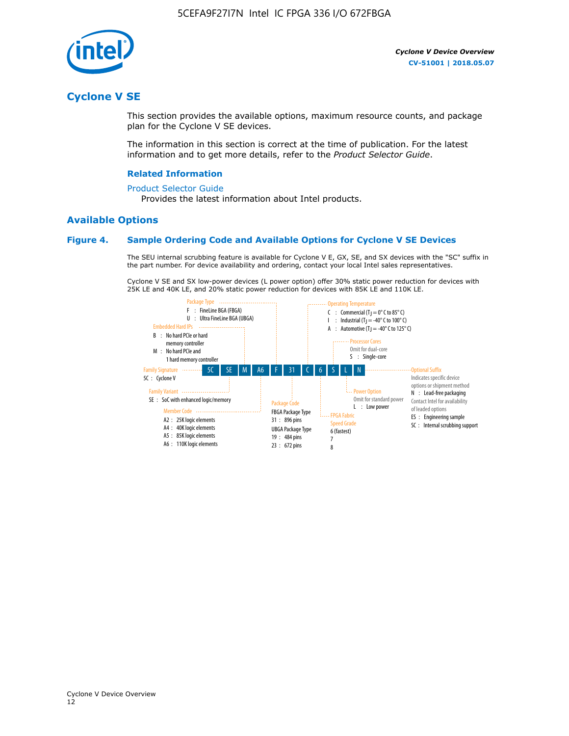

## **Cyclone V SE**

This section provides the available options, maximum resource counts, and package plan for the Cyclone V SE devices.

The information in this section is correct at the time of publication. For the latest information and to get more details, refer to the *Product Selector Guide*.

#### **Related Information**

#### [Product Selector Guide](https://www.altera.com/products/product-selector-guide.html)

Provides the latest information about Intel products.

#### **Available Options**

#### **Figure 4. Sample Ordering Code and Available Options for Cyclone V SE Devices**

The SEU internal scrubbing feature is available for Cyclone V E, GX, SE, and SX devices with the "SC" suffix in the part number. For device availability and ordering, contact your local Intel sales representatives.

Cyclone V SE and SX low-power devices (L power option) offer 30% static power reduction for devices with 25K LE and 40K LE, and 20% static power reduction for devices with 85K LE and 110K LE.

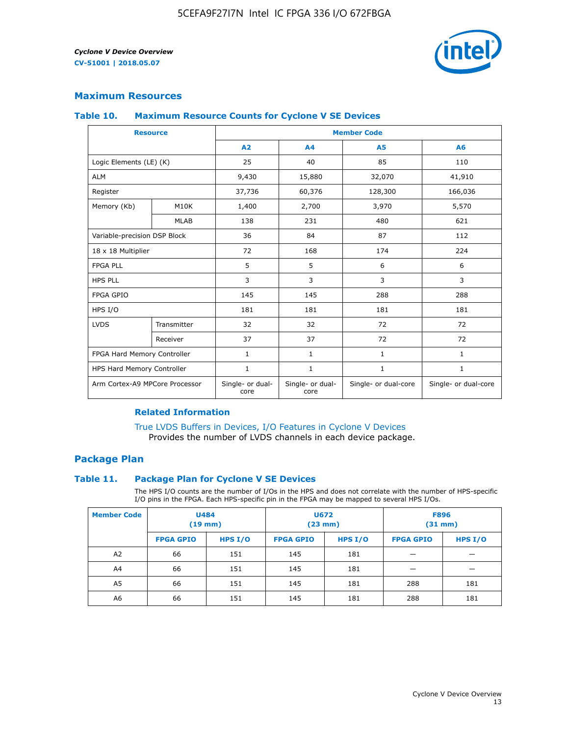

#### **Maximum Resources**

#### **Table 10. Maximum Resource Counts for Cyclone V SE Devices**

|                                | <b>Resource</b>   | <b>Member Code</b>       |                          |                      |                      |  |
|--------------------------------|-------------------|--------------------------|--------------------------|----------------------|----------------------|--|
|                                |                   | A2                       | A4                       | <b>A5</b>            | A6                   |  |
| Logic Elements (LE) (K)        |                   | 25                       | 40                       | 85                   | 110                  |  |
| <b>ALM</b>                     |                   | 9,430                    | 15,880                   | 32,070               | 41,910               |  |
| Register                       |                   | 37,736                   | 60,376                   | 128,300              | 166,036              |  |
| Memory (Kb)                    | M <sub>10</sub> K | 1,400                    | 2,700                    | 3,970                | 5,570                |  |
|                                | <b>MLAB</b>       | 138                      | 231                      | 480                  | 621                  |  |
| Variable-precision DSP Block   |                   | 36                       | 84                       | 87                   | 112                  |  |
| 18 x 18 Multiplier             |                   | 72                       | 168                      | 174                  | 224                  |  |
| <b>FPGA PLL</b>                |                   | 5                        | 5                        | 6                    | 6                    |  |
| <b>HPS PLL</b>                 |                   | 3                        | 3                        | 3                    | 3                    |  |
| <b>FPGA GPIO</b>               |                   | 145                      | 145                      | 288                  | 288                  |  |
| HPS I/O                        |                   | 181                      | 181                      | 181                  | 181                  |  |
| <b>LVDS</b>                    | Transmitter       | 32                       | 32                       | 72                   | 72                   |  |
|                                | Receiver          | 37                       | 37                       | 72                   | 72                   |  |
| FPGA Hard Memory Controller    |                   | 1                        | $\mathbf{1}$             | $\mathbf{1}$         | $\mathbf{1}$         |  |
| HPS Hard Memory Controller     |                   | 1                        | $\mathbf{1}$             | $\mathbf{1}$         | 1                    |  |
| Arm Cortex-A9 MPCore Processor |                   | Single- or dual-<br>core | Single- or dual-<br>core | Single- or dual-core | Single- or dual-core |  |

#### **Related Information**

[True LVDS Buffers in Devices, I/O Features in Cyclone V Devices](https://www.altera.com/documentation/sam1403481100977.html#sam1403480885395) Provides the number of LVDS channels in each device package.

#### **Package Plan**

#### **Table 11. Package Plan for Cyclone V SE Devices**

The HPS I/O counts are the number of I/Os in the HPS and does not correlate with the number of HPS-specific I/O pins in the FPGA. Each HPS-specific pin in the FPGA may be mapped to several HPS I/Os.

| <b>Member Code</b> | <b>U484</b><br>$(19$ mm) |           | <b>U672</b><br>(23 mm) |         | <b>F896</b><br>$(31$ mm $)$ |           |
|--------------------|--------------------------|-----------|------------------------|---------|-----------------------------|-----------|
|                    | <b>FPGA GPIO</b>         | HPS $I/O$ | <b>FPGA GPIO</b>       | HPS I/O | <b>FPGA GPIO</b>            | HPS $I/O$ |
| A <sub>2</sub>     | 66                       | 151       | 145                    | 181     |                             |           |
| A4                 | 66                       | 151       | 145                    | 181     |                             |           |
| A <sub>5</sub>     | 66                       | 151       | 145                    | 181     | 288                         | 181       |
| A6                 | 66                       | 151       | 145                    | 181     | 288                         | 181       |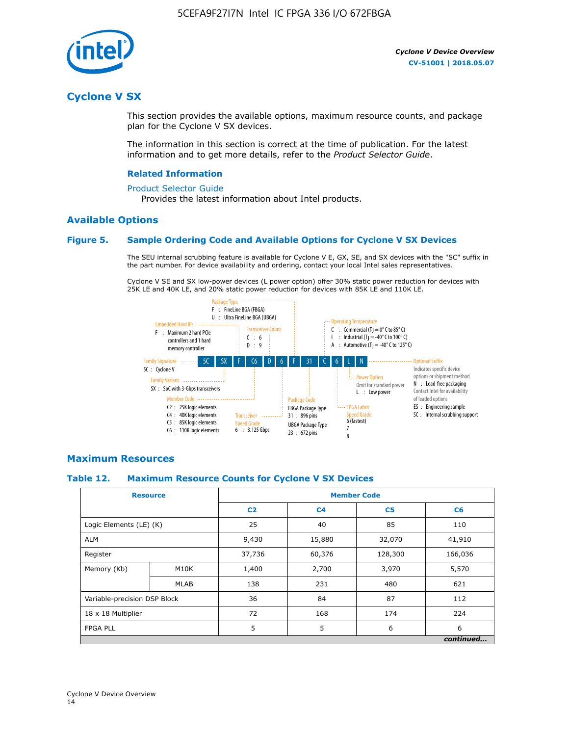

## **Cyclone V SX**

This section provides the available options, maximum resource counts, and package plan for the Cyclone V SX devices.

The information in this section is correct at the time of publication. For the latest information and to get more details, refer to the *Product Selector Guide*.

#### **Related Information**

#### [Product Selector Guide](https://www.altera.com/products/product-selector-guide.html)

Provides the latest information about Intel products.

#### **Available Options**

#### **Figure 5. Sample Ordering Code and Available Options for Cyclone V SX Devices**

The SEU internal scrubbing feature is available for Cyclone V E, GX, SE, and SX devices with the "SC" suffix in the part number. For device availability and ordering, contact your local Intel sales representatives.

Cyclone V SE and SX low-power devices (L power option) offer 30% static power reduction for devices with 25K LE and 40K LE, and 20% static power reduction for devices with 85K LE and 110K LE.



#### **Maximum Resources**

#### **Table 12. Maximum Resource Counts for Cyclone V SX Devices**

|                              | <b>Resource</b> | <b>Member Code</b> |                |                |           |  |
|------------------------------|-----------------|--------------------|----------------|----------------|-----------|--|
|                              |                 | C <sub>2</sub>     | C <sub>4</sub> | C <sub>5</sub> | C6        |  |
| Logic Elements (LE) (K)      |                 | 25                 | 40             | 85             | 110       |  |
| <b>ALM</b>                   |                 | 9,430              | 15,880         | 32,070         | 41,910    |  |
| Register                     |                 | 37,736             | 60,376         | 128,300        | 166,036   |  |
| Memory (Kb)                  | M10K            | 1,400              | 2,700          | 3,970          | 5,570     |  |
|                              | <b>MLAB</b>     | 138                | 231            | 480            | 621       |  |
| Variable-precision DSP Block |                 | 36                 | 84             | 87             | 112       |  |
| 18 x 18 Multiplier           |                 | 72                 | 168            | 174            | 224       |  |
| <b>FPGA PLL</b>              |                 | 5                  | 5              | 6              | 6         |  |
|                              |                 |                    |                |                | continued |  |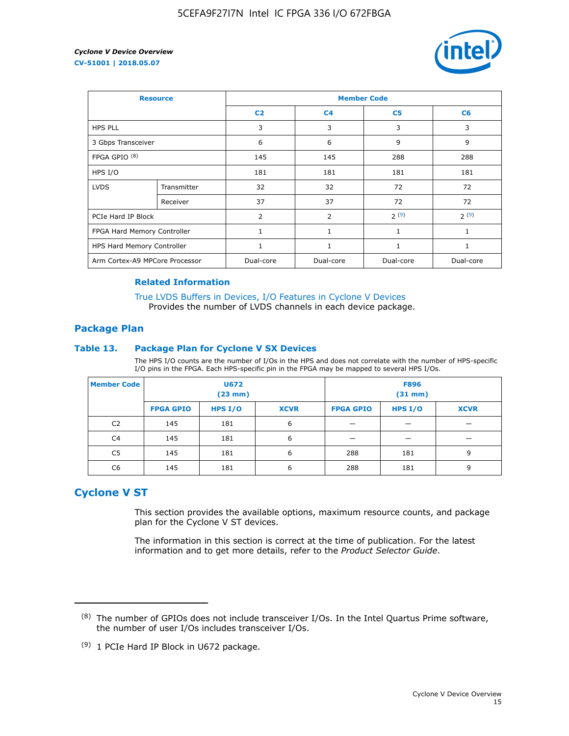

| <b>Resource</b>                |             | <b>Member Code</b> |                |                |                |  |  |
|--------------------------------|-------------|--------------------|----------------|----------------|----------------|--|--|
|                                |             | C <sub>2</sub>     | C <sub>4</sub> | C <sub>5</sub> | C <sub>6</sub> |  |  |
| <b>HPS PLL</b>                 |             | 3                  | 3              | 3              | 3              |  |  |
| 3 Gbps Transceiver             |             | 6                  | 6              | 9              | 9              |  |  |
| FPGA GPIO <sup>(8)</sup>       |             | 145                | 145            | 288            | 288            |  |  |
| HPS I/O                        |             | 181                | 181            | 181            | 181            |  |  |
| <b>LVDS</b>                    | Transmitter | 32                 | 32             | 72             | 72             |  |  |
|                                | Receiver    | 37                 | 37             | 72             | 72             |  |  |
| PCIe Hard IP Block             |             | $\overline{2}$     | $\overline{2}$ | 2(9)           | 2(9)           |  |  |
| FPGA Hard Memory Controller    |             | $\mathbf{1}$       | $\mathbf{1}$   | $\mathbf{1}$   | $\mathbf{1}$   |  |  |
| HPS Hard Memory Controller     |             |                    | $\mathbf{1}$   | 1              | 1              |  |  |
| Arm Cortex-A9 MPCore Processor |             | Dual-core          | Dual-core      | Dual-core      | Dual-core      |  |  |

#### **Related Information**

[True LVDS Buffers in Devices, I/O Features in Cyclone V Devices](https://www.altera.com/documentation/sam1403481100977.html#sam1403480885395) Provides the number of LVDS channels in each device package.

#### **Package Plan**

#### **Table 13. Package Plan for Cyclone V SX Devices**

The HPS I/O counts are the number of I/Os in the HPS and does not correlate with the number of HPS-specific I/O pins in the FPGA. Each HPS-specific pin in the FPGA may be mapped to several HPS I/Os.

| <b>Member Code</b> | U672<br>(23 mm)  |           | <b>F896</b><br>$(31$ mm $)$ |                  |         |             |
|--------------------|------------------|-----------|-----------------------------|------------------|---------|-------------|
|                    | <b>FPGA GPIO</b> | HPS $I/O$ | <b>XCVR</b>                 | <b>FPGA GPIO</b> | HPS I/O | <b>XCVR</b> |
| C <sub>2</sub>     | 145              | 181       | 6                           |                  |         |             |
| C4                 | 145              | 181       | 6                           |                  |         |             |
| C <sub>5</sub>     | 145              | 181       | 6                           | 288              | 181     | 9           |
| C6                 | 145              | 181       | 6                           | 288              | 181     | 9           |

## **Cyclone V ST**

This section provides the available options, maximum resource counts, and package plan for the Cyclone V ST devices.

The information in this section is correct at the time of publication. For the latest information and to get more details, refer to the *Product Selector Guide*.

 $(8)$  The number of GPIOs does not include transceiver I/Os. In the Intel Quartus Prime software, the number of user I/Os includes transceiver I/Os.

<sup>(9)</sup> 1 PCIe Hard IP Block in U672 package.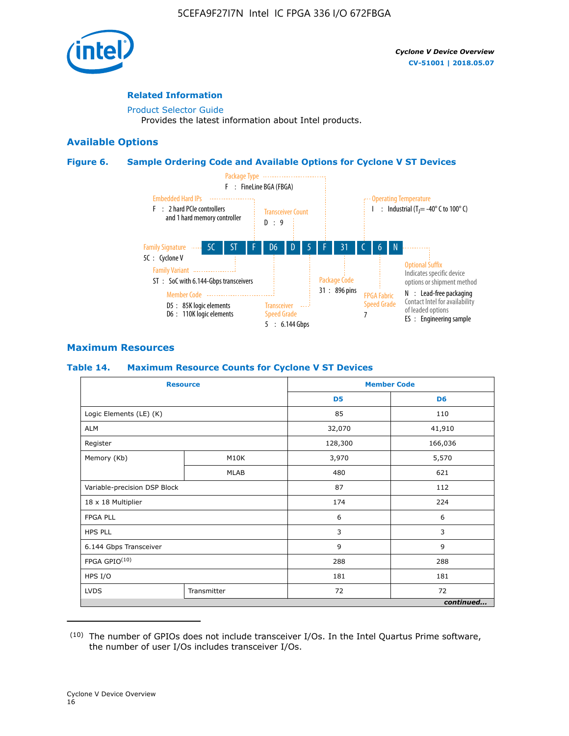

#### **Related Information**

[Product Selector Guide](https://www.altera.com/products/product-selector-guide.html) Provides the latest information about Intel products.

#### **Available Options**

#### **Figure 6. Sample Ordering Code and Available Options for Cyclone V ST Devices**



#### **Maximum Resources**

#### **Table 14. Maximum Resource Counts for Cyclone V ST Devices**

| <b>Resource</b>              |             |                | <b>Member Code</b> |
|------------------------------|-------------|----------------|--------------------|
|                              |             | D <sub>5</sub> | D <sub>6</sub>     |
| Logic Elements (LE) (K)      |             | 85             | 110                |
| <b>ALM</b>                   |             | 32,070         | 41,910             |
| Register                     |             | 128,300        | 166,036            |
| Memory (Kb)                  | M10K        | 3,970          | 5,570              |
|                              | MLAB        | 480            | 621                |
| Variable-precision DSP Block |             | 87             | 112                |
| 18 x 18 Multiplier           |             | 174            | 224                |
| <b>FPGA PLL</b>              |             | 6              | 6                  |
| <b>HPS PLL</b>               |             | 3              | 3                  |
| 6.144 Gbps Transceiver       |             | 9              | 9                  |
| FPGA GPIO(10)                |             | 288            | 288                |
| HPS I/O                      |             | 181            | 181                |
| <b>LVDS</b>                  | Transmitter | 72             | 72                 |
|                              |             |                | continued          |

<sup>(10)</sup> The number of GPIOs does not include transceiver I/Os. In the Intel Quartus Prime software, the number of user I/Os includes transceiver I/Os.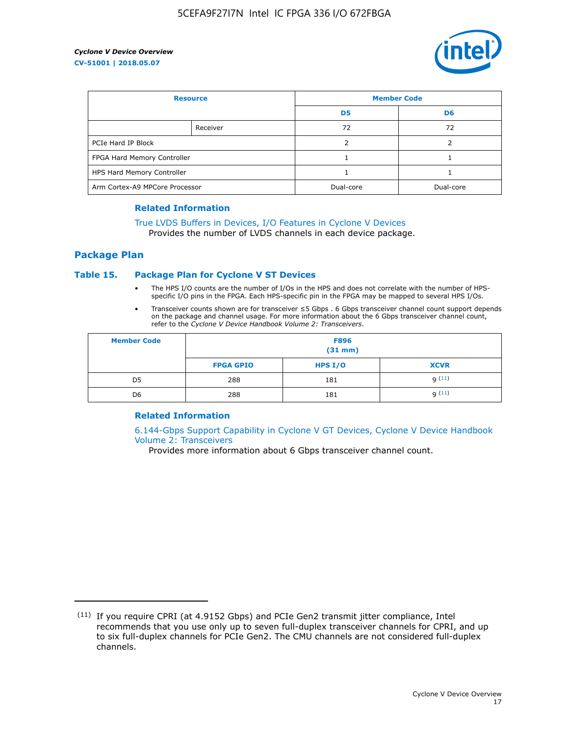

| <b>Resource</b>                |          | <b>Member Code</b> |                |  |
|--------------------------------|----------|--------------------|----------------|--|
|                                |          | D <sub>5</sub>     | D <sub>6</sub> |  |
|                                | Receiver | 72                 | 72             |  |
| PCIe Hard IP Block             |          |                    |                |  |
| FPGA Hard Memory Controller    |          |                    |                |  |
| HPS Hard Memory Controller     |          |                    |                |  |
| Arm Cortex-A9 MPCore Processor |          | Dual-core          | Dual-core      |  |

#### **Related Information**

## [True LVDS Buffers in Devices, I/O Features in Cyclone V Devices](https://www.altera.com/documentation/sam1403481100977.html#sam1403480885395)

Provides the number of LVDS channels in each device package.

#### **Package Plan**

#### **Table 15. Package Plan for Cyclone V ST Devices**

- The HPS I/O counts are the number of I/Os in the HPS and does not correlate with the number of HPSspecific I/O pins in the FPGA. Each HPS-specific pin in the FPGA may be mapped to several HPS I/Os.
- Transceiver counts shown are for transceiver ≤5 Gbps . 6 Gbps transceiver channel count support depends on the package and channel usage. For more information about the 6 Gbps transceiver channel count, refer to the *Cyclone V Device Handbook Volume 2: Transceivers*.

| <b>Member Code</b> | <b>F896</b><br>$(31$ mm $)$ |           |             |  |  |
|--------------------|-----------------------------|-----------|-------------|--|--|
|                    | <b>FPGA GPIO</b>            | HPS $I/O$ | <b>XCVR</b> |  |  |
| D <sub>5</sub>     | 288                         | 181       | 9(11)       |  |  |
| D <sub>6</sub>     | 288                         | 181       | q(11)       |  |  |

#### **Related Information**

[6.144-Gbps Support Capability in Cyclone V GT Devices, Cyclone V Device Handbook](https://www.altera.com/documentation/nik1409855456781.html#nik1409855410757) [Volume 2: Transceivers](https://www.altera.com/documentation/nik1409855456781.html#nik1409855410757)

Provides more information about 6 Gbps transceiver channel count.

<sup>(11)</sup> If you require CPRI (at 4.9152 Gbps) and PCIe Gen2 transmit jitter compliance, Intel recommends that you use only up to seven full-duplex transceiver channels for CPRI, and up to six full-duplex channels for PCIe Gen2. The CMU channels are not considered full-duplex channels.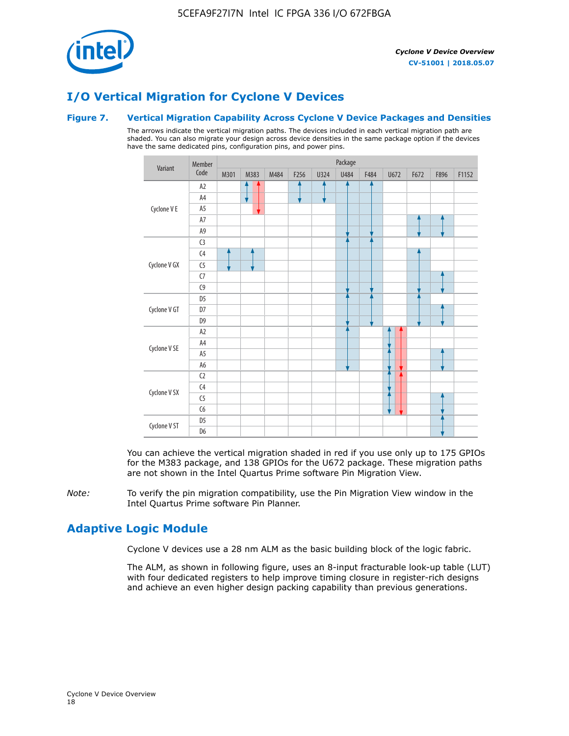

## **I/O Vertical Migration for Cyclone V Devices**

#### **Figure 7. Vertical Migration Capability Across Cyclone V Device Packages and Densities**

The arrows indicate the vertical migration paths. The devices included in each vertical migration path are shaded. You can also migrate your design across device densities in the same package option if the devices have the same dedicated pins, configuration pins, and power pins.



You can achieve the vertical migration shaded in red if you use only up to 175 GPIOs for the M383 package, and 138 GPIOs for the U672 package. These migration paths are not shown in the Intel Quartus Prime software Pin Migration View.

*Note:* To verify the pin migration compatibility, use the Pin Migration View window in the Intel Quartus Prime software Pin Planner.

## **Adaptive Logic Module**

Cyclone V devices use a 28 nm ALM as the basic building block of the logic fabric.

The ALM, as shown in following figure, uses an 8-input fracturable look-up table (LUT) with four dedicated registers to help improve timing closure in register-rich designs and achieve an even higher design packing capability than previous generations.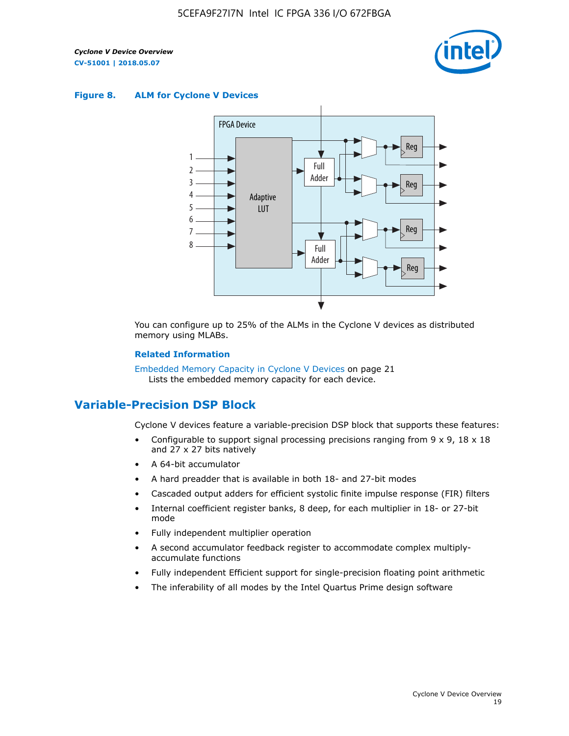

#### **Figure 8. ALM for Cyclone V Devices**



You can configure up to 25% of the ALMs in the Cyclone V devices as distributed memory using MLABs.

#### **Related Information**

Embedded Memory Capacity in Cyclone V Devices on page 21 Lists the embedded memory capacity for each device.

## **Variable-Precision DSP Block**

Cyclone V devices feature a variable-precision DSP block that supports these features:

- Configurable to support signal processing precisions ranging from  $9 \times 9$ ,  $18 \times 18$ and 27 x 27 bits natively
- A 64-bit accumulator
- A hard preadder that is available in both 18- and 27-bit modes
- Cascaded output adders for efficient systolic finite impulse response (FIR) filters
- Internal coefficient register banks, 8 deep, for each multiplier in 18- or 27-bit mode
- Fully independent multiplier operation
- A second accumulator feedback register to accommodate complex multiplyaccumulate functions
- Fully independent Efficient support for single-precision floating point arithmetic
- The inferability of all modes by the Intel Quartus Prime design software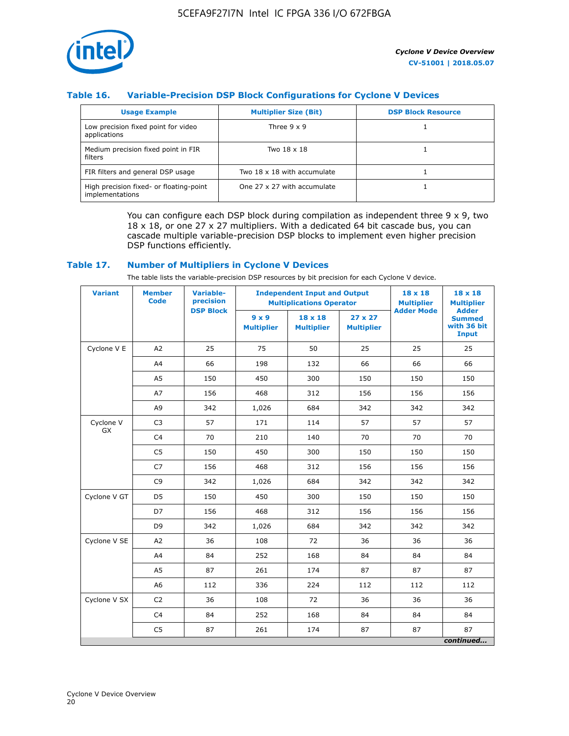

#### **Table 16. Variable-Precision DSP Block Configurations for Cyclone V Devices**

| <b>Usage Example</b>                                       | <b>Multiplier Size (Bit)</b> | <b>DSP Block Resource</b> |
|------------------------------------------------------------|------------------------------|---------------------------|
| Low precision fixed point for video<br>applications        | Three $9 \times 9$           |                           |
| Medium precision fixed point in FIR<br>filters             | Two 18 x 18                  |                           |
| FIR filters and general DSP usage                          | Two 18 x 18 with accumulate  |                           |
| High precision fixed- or floating-point<br>implementations | One 27 x 27 with accumulate  |                           |

You can configure each DSP block during compilation as independent three  $9 \times 9$ , two 18 x 18, or one 27 x 27 multipliers. With a dedicated 64 bit cascade bus, you can cascade multiple variable-precision DSP blocks to implement even higher precision DSP functions efficiently.

#### **Table 17. Number of Multipliers in Cyclone V Devices**

The table lists the variable-precision DSP resources by bit precision for each Cyclone V device.

| <b>Variant</b>         | <b>Member</b><br><b>Code</b> | <b>Variable-</b><br>precision |                                   | <b>Independent Input and Output</b><br><b>Multiplications Operator</b> | $18 \times 18$<br><b>Multiplier</b> | $18 \times 18$<br><b>Multiplier</b> |                                                              |
|------------------------|------------------------------|-------------------------------|-----------------------------------|------------------------------------------------------------------------|-------------------------------------|-------------------------------------|--------------------------------------------------------------|
|                        |                              | <b>DSP Block</b>              | $9 \times 9$<br><b>Multiplier</b> | $18 \times 18$<br><b>Multiplier</b>                                    | $27 \times 27$<br><b>Multiplier</b> | <b>Adder Mode</b>                   | <b>Adder</b><br><b>Summed</b><br>with 36 bit<br><b>Input</b> |
| Cyclone V E            | A2                           | 25                            | 75                                | 50                                                                     | 25                                  | 25                                  | 25                                                           |
|                        | A4                           | 66                            | 198                               | 132                                                                    | 66                                  | 66                                  | 66                                                           |
|                        | A <sub>5</sub>               | 150                           | 450                               | 300                                                                    | 150                                 | 150                                 | 150                                                          |
|                        | A7                           | 156                           | 468                               | 312                                                                    | 156                                 | 156                                 | 156                                                          |
|                        | A <sub>9</sub>               | 342                           | 1,026                             | 684                                                                    | 342                                 | 342                                 | 342                                                          |
| Cyclone V<br><b>GX</b> | C <sub>3</sub>               | 57                            | 171                               | 114                                                                    | 57                                  | 57                                  | 57                                                           |
|                        | C <sub>4</sub>               | 70                            | 210                               | 140                                                                    | 70                                  | 70                                  | 70                                                           |
|                        | C <sub>5</sub>               | 150                           | 450                               | 300                                                                    | 150                                 | 150                                 | 150                                                          |
|                        | C <sub>7</sub>               | 156                           | 468                               | 312                                                                    | 156                                 | 156                                 | 156                                                          |
|                        | C <sub>9</sub>               | 342                           | 1,026                             | 684                                                                    | 342                                 | 342                                 | 342                                                          |
| Cyclone V GT           | D <sub>5</sub>               | 150                           | 450                               | 300                                                                    | 150                                 | 150                                 | 150                                                          |
|                        | D7                           | 156                           | 468                               | 312                                                                    | 156                                 | 156                                 | 156                                                          |
|                        | D <sub>9</sub>               | 342                           | 1,026                             | 684                                                                    | 342                                 | 342                                 | 342                                                          |
| Cyclone V SE           | A <sub>2</sub>               | 36                            | 108                               | 72                                                                     | 36                                  | 36                                  | 36                                                           |
|                        | A4                           | 84                            | 252                               | 168                                                                    | 84                                  | 84                                  | 84                                                           |
|                        | A5                           | 87                            | 261                               | 174                                                                    | 87                                  | 87                                  | 87                                                           |
|                        | A <sub>6</sub>               | 112                           | 336                               | 224                                                                    | 112                                 | 112                                 | 112                                                          |
| Cyclone V SX           | C <sub>2</sub>               | 36                            | 108                               | 72                                                                     | 36                                  | 36                                  | 36                                                           |
|                        | C <sub>4</sub>               | 84                            | 252                               | 168                                                                    | 84                                  | 84                                  | 84                                                           |
|                        | C <sub>5</sub>               | 87                            | 261                               | 174                                                                    | 87                                  | 87                                  | 87                                                           |
|                        |                              |                               |                                   |                                                                        |                                     |                                     | continued                                                    |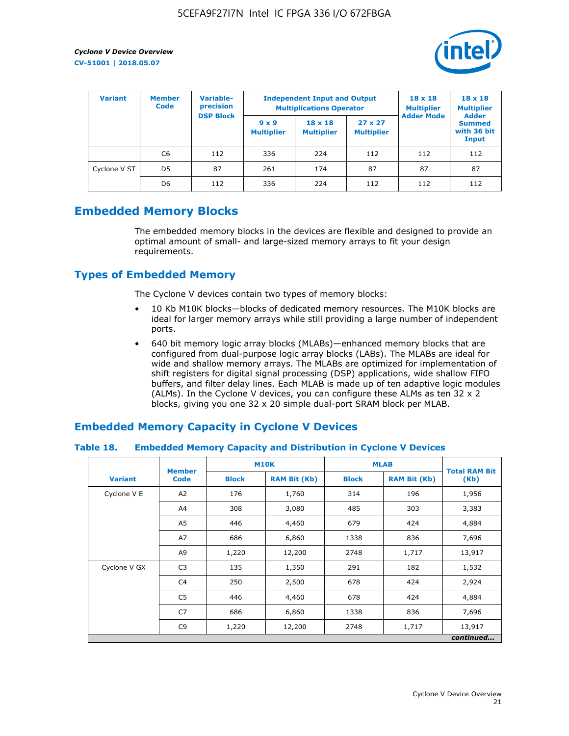

| <b>Variant</b> | Variable-<br><b>Member</b><br>precision<br><b>Code</b> |                  | <b>Independent Input and Output</b><br><b>Multiplications Operator</b> | $18 \times 18$<br><b>Multiplier</b> | $18 \times 18$<br><b>Multiplier</b><br><b>Adder</b> |                   |                                       |
|----------------|--------------------------------------------------------|------------------|------------------------------------------------------------------------|-------------------------------------|-----------------------------------------------------|-------------------|---------------------------------------|
|                |                                                        | <b>DSP Block</b> | $9 \times 9$<br><b>Multiplier</b>                                      | $18 \times 18$<br><b>Multiplier</b> | $27 \times 27$<br><b>Multiplier</b>                 | <b>Adder Mode</b> | <b>Summed</b><br>with 36 bit<br>Input |
|                | C6                                                     | 112              | 336                                                                    | 224                                 | 112                                                 | 112               | 112                                   |
| Cyclone V ST   | D <sub>5</sub>                                         | 87               | 261                                                                    | 174                                 | 87                                                  | 87                | 87                                    |
|                | D <sub>6</sub>                                         | 112              | 336                                                                    | 224                                 | 112                                                 | 112               | 112                                   |

## **Embedded Memory Blocks**

The embedded memory blocks in the devices are flexible and designed to provide an optimal amount of small- and large-sized memory arrays to fit your design requirements.

## **Types of Embedded Memory**

The Cyclone V devices contain two types of memory blocks:

- 10 Kb M10K blocks—blocks of dedicated memory resources. The M10K blocks are ideal for larger memory arrays while still providing a large number of independent ports.
- 640 bit memory logic array blocks (MLABs)—enhanced memory blocks that are configured from dual-purpose logic array blocks (LABs). The MLABs are ideal for wide and shallow memory arrays. The MLABs are optimized for implementation of shift registers for digital signal processing (DSP) applications, wide shallow FIFO buffers, and filter delay lines. Each MLAB is made up of ten adaptive logic modules (ALMs). In the Cyclone V devices, you can configure these ALMs as ten 32 x 2 blocks, giving you one 32 x 20 simple dual-port SRAM block per MLAB.

## **Embedded Memory Capacity in Cyclone V Devices**

#### **Table 18. Embedded Memory Capacity and Distribution in Cyclone V Devices**

|                | <b>Member</b>  | <b>M10K</b>  |                     | <b>MLAB</b>  | <b>Total RAM Bit</b> |           |
|----------------|----------------|--------------|---------------------|--------------|----------------------|-----------|
| <b>Variant</b> | <b>Code</b>    | <b>Block</b> | <b>RAM Bit (Kb)</b> | <b>Block</b> | <b>RAM Bit (Kb)</b>  | (Kb)      |
| Cyclone V E    | A2             | 176          | 1,760               | 314          | 196                  | 1,956     |
|                | A4             | 308          | 3,080               | 485          | 303                  | 3,383     |
|                | A5             | 446          | 4,460               | 679          | 424                  | 4,884     |
|                | A7             | 686          | 6,860               | 1338         | 836                  | 7,696     |
|                | A9             | 1,220        | 12,200              | 2748         | 1,717                | 13,917    |
| Cyclone V GX   | C <sub>3</sub> | 135          | 1,350               | 291          | 182                  | 1,532     |
|                | C4             | 250          | 2,500               | 678          | 424                  | 2,924     |
|                | C5             | 446          | 4,460               | 678          | 424                  | 4,884     |
|                | C7             | 686          | 6,860               | 1338         | 836                  | 7,696     |
|                | C <sub>9</sub> | 1,220        | 12,200              | 2748         | 1,717                | 13,917    |
|                |                |              |                     |              |                      | continued |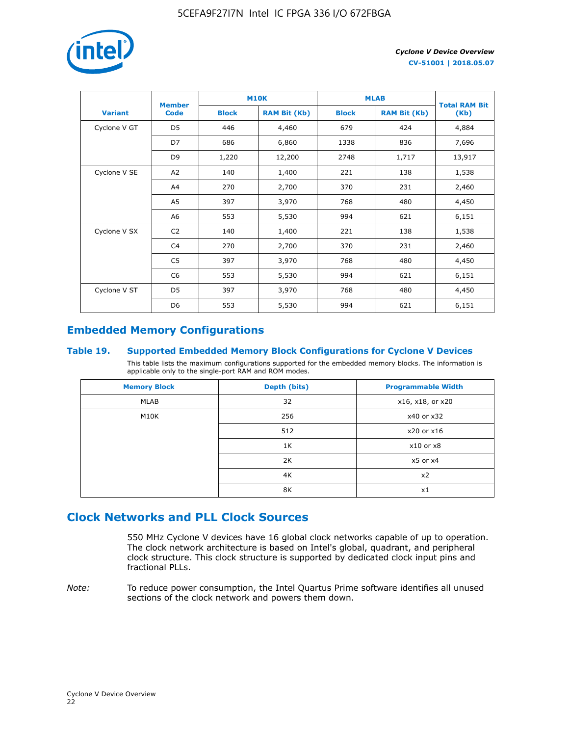

|                | <b>Member</b>  | <b>M10K</b>  |                     | <b>MLAB</b>  | <b>Total RAM Bit</b> |        |
|----------------|----------------|--------------|---------------------|--------------|----------------------|--------|
| <b>Variant</b> | <b>Code</b>    | <b>Block</b> | <b>RAM Bit (Kb)</b> | <b>Block</b> | <b>RAM Bit (Kb)</b>  | (Kb)   |
| Cyclone V GT   | D <sub>5</sub> | 446          | 4,460               | 679          | 424                  | 4,884  |
|                | D7             | 686          | 6,860               | 1338         | 836                  | 7,696  |
|                | D <sub>9</sub> | 1,220        | 12,200              | 2748         | 1,717                | 13,917 |
| Cyclone V SE   | A <sub>2</sub> | 140          | 1,400               | 221          | 138                  | 1,538  |
|                | A4             | 270          | 2,700               | 370          | 231                  | 2,460  |
|                | A5             | 397          | 3,970               | 768          | 480                  | 4,450  |
|                | A6             | 553          | 5,530               | 994          | 621                  | 6,151  |
| Cyclone V SX   | C <sub>2</sub> | 140          | 1,400               | 221          | 138                  | 1,538  |
|                | C4             | 270          | 2,700               | 370          | 231                  | 2,460  |
|                | C5             | 397          | 3,970               | 768          | 480                  | 4,450  |
|                | C <sub>6</sub> | 553          | 5,530               | 994          | 621                  | 6,151  |
| Cyclone V ST   | D <sub>5</sub> | 397          | 3,970               | 768          | 480                  | 4,450  |
|                | D <sub>6</sub> | 553          | 5,530               | 994          | 621                  | 6,151  |

## **Embedded Memory Configurations**

#### **Table 19. Supported Embedded Memory Block Configurations for Cyclone V Devices**

This table lists the maximum configurations supported for the embedded memory blocks. The information is applicable only to the single-port RAM and ROM modes.

| <b>Memory Block</b> | Depth (bits) | <b>Programmable Width</b> |
|---------------------|--------------|---------------------------|
| MLAB                | 32           | x16, x18, or x20          |
| M10K                | 256          | x40 or x32                |
|                     | 512          | x20 or x16                |
|                     | 1K           | $x10$ or $x8$             |
|                     | 2K           | $x5$ or $x4$              |
|                     | 4K           | x2                        |
|                     | 8K           | x1                        |

## **Clock Networks and PLL Clock Sources**

550 MHz Cyclone V devices have 16 global clock networks capable of up to operation. The clock network architecture is based on Intel's global, quadrant, and peripheral clock structure. This clock structure is supported by dedicated clock input pins and fractional PLLs.

*Note:* To reduce power consumption, the Intel Quartus Prime software identifies all unused sections of the clock network and powers them down.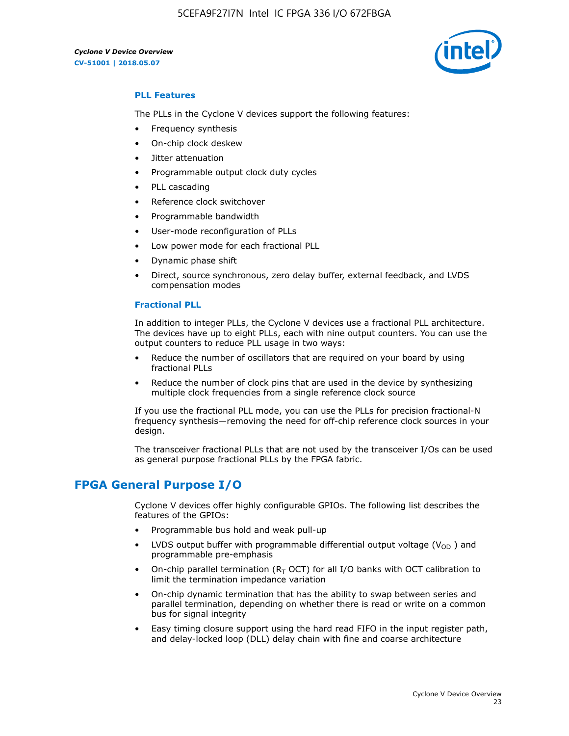5CEFA9F27I7N Intel IC FPGA 336 I/O 672FBGA



#### **PLL Features**

The PLLs in the Cyclone V devices support the following features:

- Frequency synthesis
- On-chip clock deskew
- Jitter attenuation
- Programmable output clock duty cycles
- PLL cascading
- Reference clock switchover
- Programmable bandwidth
- User-mode reconfiguration of PLLs
- Low power mode for each fractional PLL
- Dynamic phase shift
- Direct, source synchronous, zero delay buffer, external feedback, and LVDS compensation modes

#### **Fractional PLL**

In addition to integer PLLs, the Cyclone V devices use a fractional PLL architecture. The devices have up to eight PLLs, each with nine output counters. You can use the output counters to reduce PLL usage in two ways:

- Reduce the number of oscillators that are required on your board by using fractional PLLs
- Reduce the number of clock pins that are used in the device by synthesizing multiple clock frequencies from a single reference clock source

If you use the fractional PLL mode, you can use the PLLs for precision fractional-N frequency synthesis—removing the need for off-chip reference clock sources in your design.

The transceiver fractional PLLs that are not used by the transceiver I/Os can be used as general purpose fractional PLLs by the FPGA fabric.

## **FPGA General Purpose I/O**

Cyclone V devices offer highly configurable GPIOs. The following list describes the features of the GPIOs:

- Programmable bus hold and weak pull-up
- LVDS output buffer with programmable differential output voltage ( $V_{OD}$ ) and programmable pre-emphasis
- On-chip parallel termination ( $R<sub>T</sub>$  OCT) for all I/O banks with OCT calibration to limit the termination impedance variation
- On-chip dynamic termination that has the ability to swap between series and parallel termination, depending on whether there is read or write on a common bus for signal integrity
- Easy timing closure support using the hard read FIFO in the input register path, and delay-locked loop (DLL) delay chain with fine and coarse architecture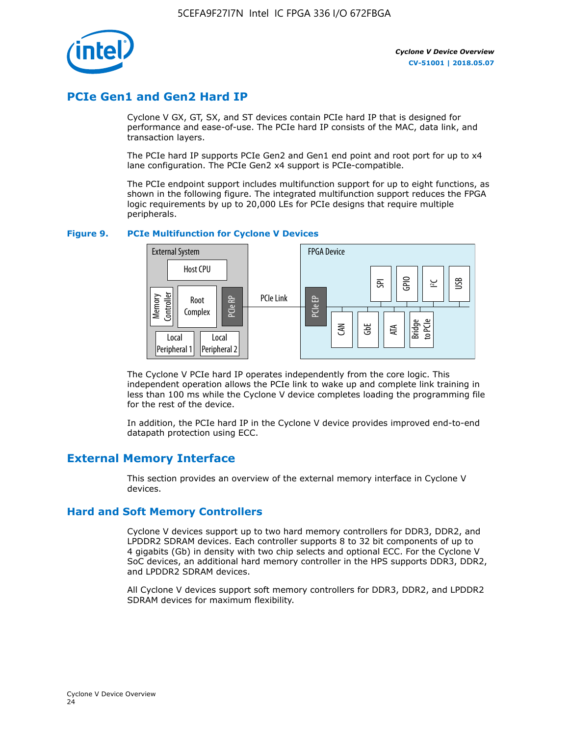

## **PCIe Gen1 and Gen2 Hard IP**

Cyclone V GX, GT, SX, and ST devices contain PCIe hard IP that is designed for performance and ease-of-use. The PCIe hard IP consists of the MAC, data link, and transaction layers.

The PCIe hard IP supports PCIe Gen2 and Gen1 end point and root port for up to x4 lane configuration. The PCIe Gen2 x4 support is PCIe-compatible.

The PCIe endpoint support includes multifunction support for up to eight functions, as shown in the following figure. The integrated multifunction support reduces the FPGA logic requirements by up to 20,000 LEs for PCIe designs that require multiple peripherals.

#### **Figure 9. PCIe Multifunction for Cyclone V Devices**



The Cyclone V PCIe hard IP operates independently from the core logic. This independent operation allows the PCIe link to wake up and complete link training in less than 100 ms while the Cyclone V device completes loading the programming file for the rest of the device.

In addition, the PCIe hard IP in the Cyclone V device provides improved end-to-end datapath protection using ECC.

## **External Memory Interface**

This section provides an overview of the external memory interface in Cyclone V devices.

#### **Hard and Soft Memory Controllers**

Cyclone V devices support up to two hard memory controllers for DDR3, DDR2, and LPDDR2 SDRAM devices. Each controller supports 8 to 32 bit components of up to 4 gigabits (Gb) in density with two chip selects and optional ECC. For the Cyclone V SoC devices, an additional hard memory controller in the HPS supports DDR3, DDR2, and LPDDR2 SDRAM devices.

All Cyclone V devices support soft memory controllers for DDR3, DDR2, and LPDDR2 SDRAM devices for maximum flexibility.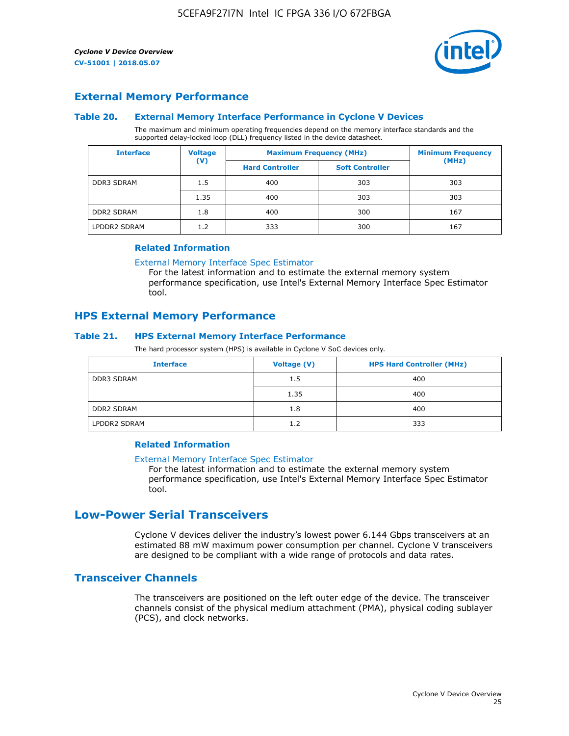

#### **External Memory Performance**

#### **Table 20. External Memory Interface Performance in Cyclone V Devices**

The maximum and minimum operating frequencies depend on the memory interface standards and the supported delay-locked loop (DLL) frequency listed in the device datasheet.

| <b>Interface</b>  | <b>Voltage</b> |                        | <b>Maximum Frequency (MHz)</b> |       |  |
|-------------------|----------------|------------------------|--------------------------------|-------|--|
|                   | $(\mathsf{V})$ | <b>Hard Controller</b> | <b>Soft Controller</b>         | (MHz) |  |
| <b>DDR3 SDRAM</b> | 1.5            | 400                    | 303                            | 303   |  |
|                   | 1.35           | 400                    | 303                            | 303   |  |
| <b>DDR2 SDRAM</b> | 1.8            | 400                    | 300                            | 167   |  |
| LPDDR2 SDRAM      | 1.2            | 333                    | 300                            | 167   |  |

#### **Related Information**

[External Memory Interface Spec Estimator](https://www.altera.com/solutions/technology/external-memory/spec-estimator.html)

For the latest information and to estimate the external memory system performance specification, use Intel's External Memory Interface Spec Estimator tool.

#### **HPS External Memory Performance**

#### **Table 21. HPS External Memory Interface Performance**

The hard processor system (HPS) is available in Cyclone V SoC devices only.

| <b>Interface</b>  | <b>Voltage (V)</b> | <b>HPS Hard Controller (MHz)</b> |
|-------------------|--------------------|----------------------------------|
| <b>DDR3 SDRAM</b> | 1.5                | 400                              |
|                   | 1.35               | 400                              |
| <b>DDR2 SDRAM</b> | 1.8                | 400                              |
| LPDDR2 SDRAM      | 1.2                | 333                              |

#### **Related Information**

#### [External Memory Interface Spec Estimator](https://www.altera.com/solutions/technology/external-memory/spec-estimator.html)

For the latest information and to estimate the external memory system performance specification, use Intel's External Memory Interface Spec Estimator tool.

## **Low-Power Serial Transceivers**

Cyclone V devices deliver the industry's lowest power 6.144 Gbps transceivers at an estimated 88 mW maximum power consumption per channel. Cyclone V transceivers are designed to be compliant with a wide range of protocols and data rates.

#### **Transceiver Channels**

The transceivers are positioned on the left outer edge of the device. The transceiver channels consist of the physical medium attachment (PMA), physical coding sublayer (PCS), and clock networks.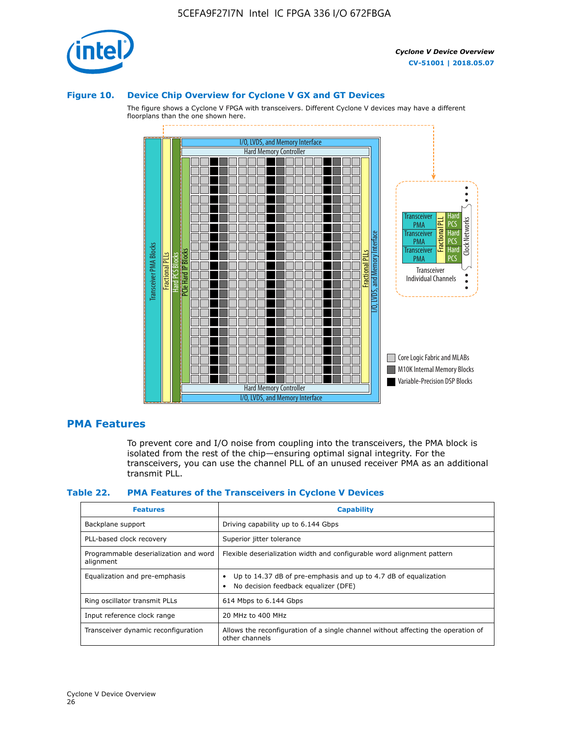

#### **Figure 10. Device Chip Overview for Cyclone V GX and GT Devices**

The figure shows a Cyclone V FPGA with transceivers. Different Cyclone V devices may have a different floorplans than the one shown here.



#### **PMA Features**

To prevent core and I/O noise from coupling into the transceivers, the PMA block is isolated from the rest of the chip—ensuring optimal signal integrity. For the transceivers, you can use the channel PLL of an unused receiver PMA as an additional transmit PLL.

#### **Table 22. PMA Features of the Transceivers in Cyclone V Devices**

| <b>Features</b>                                    | <b>Capability</b>                                                                                       |
|----------------------------------------------------|---------------------------------------------------------------------------------------------------------|
| Backplane support                                  | Driving capability up to 6.144 Gbps                                                                     |
| PLL-based clock recovery                           | Superior jitter tolerance                                                                               |
| Programmable deserialization and word<br>alignment | Flexible deserialization width and configurable word alignment pattern                                  |
| Equalization and pre-emphasis                      | Up to 14.37 dB of pre-emphasis and up to 4.7 dB of equalization<br>No decision feedback equalizer (DFE) |
| Ring oscillator transmit PLLs                      | 614 Mbps to 6.144 Gbps                                                                                  |
| Input reference clock range                        | 20 MHz to 400 MHz                                                                                       |
| Transceiver dynamic reconfiguration                | Allows the reconfiguration of a single channel without affecting the operation of<br>other channels     |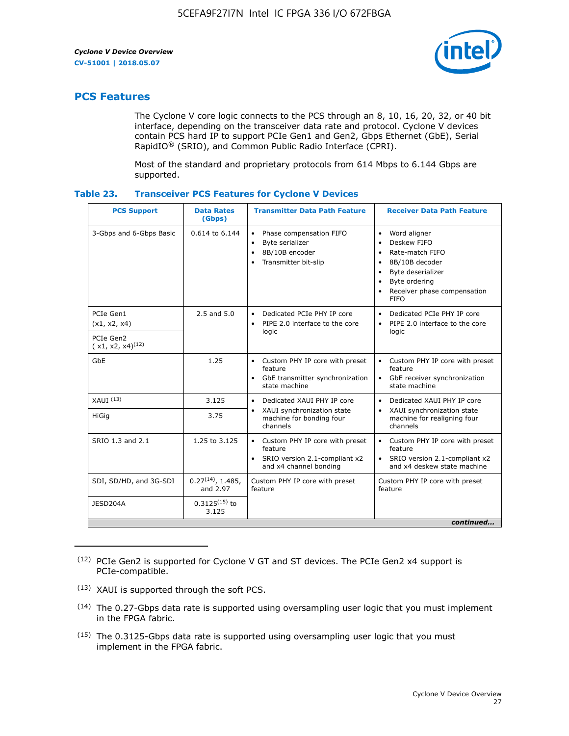

## **PCS Features**

The Cyclone V core logic connects to the PCS through an 8, 10, 16, 20, 32, or 40 bit interface, depending on the transceiver data rate and protocol. Cyclone V devices contain PCS hard IP to support PCIe Gen1 and Gen2, Gbps Ethernet (GbE), Serial RapidIO® (SRIO), and Common Public Radio Interface (CPRI).

Most of the standard and proprietary protocols from 614 Mbps to 6.144 Gbps are supported.

| Table 23. | <b>Transceiver PCS Features for Cyclone V Devices</b> |  |  |  |
|-----------|-------------------------------------------------------|--|--|--|
|-----------|-------------------------------------------------------|--|--|--|

| <b>PCS Support</b>                 | <b>Data Rates</b><br>(Gbps)        | <b>Transmitter Data Path Feature</b>                                                                           | <b>Receiver Data Path Feature</b>                                                                                                                                                                                                  |  |  |
|------------------------------------|------------------------------------|----------------------------------------------------------------------------------------------------------------|------------------------------------------------------------------------------------------------------------------------------------------------------------------------------------------------------------------------------------|--|--|
| 3-Gbps and 6-Gbps Basic            | $0.614$ to $6.144$                 | Phase compensation FIFO<br>$\bullet$<br>Byte serializer<br>$\bullet$<br>8B/10B encoder<br>Transmitter bit-slip | Word aligner<br>$\bullet$<br>Deskew FIFO<br>$\bullet$<br>Rate-match FIFO<br>$\bullet$<br>8B/10B decoder<br>$\bullet$<br>Byte deserializer<br>$\bullet$<br>Byte ordering<br>$\bullet$<br>Receiver phase compensation<br><b>FIFO</b> |  |  |
| PCIe Gen1<br>(x1, x2, x4)          | 2.5 and 5.0                        | Dedicated PCIe PHY IP core<br>$\bullet$<br>PIPE 2.0 interface to the core<br>$\bullet$<br>logic                | Dedicated PCIe PHY IP core<br>$\bullet$<br>PIPE 2.0 interface to the core<br>$\bullet$<br>logic                                                                                                                                    |  |  |
| PCIe Gen2<br>$(x1, x2, x4)^{(12)}$ |                                    |                                                                                                                |                                                                                                                                                                                                                                    |  |  |
| GbE                                | 1.25                               | • Custom PHY IP core with preset<br>feature<br>GbE transmitter synchronization<br>$\bullet$<br>state machine   | • Custom PHY IP core with preset<br>feature<br>GbE receiver synchronization<br>state machine                                                                                                                                       |  |  |
| XAUI <sup>(13)</sup>               | 3.125                              | Dedicated XAUI PHY IP core<br>$\bullet$                                                                        | Dedicated XAUI PHY IP core<br>$\bullet$                                                                                                                                                                                            |  |  |
| <b>HiGig</b>                       | 3.75                               | XAUI synchronization state<br>machine for bonding four<br>channels                                             | XAUI synchronization state<br>$\bullet$<br>machine for realigning four<br>channels                                                                                                                                                 |  |  |
| SRIO 1.3 and 2.1                   | 1.25 to 3.125                      | • Custom PHY IP core with preset<br>feature<br>• SRIO version 2.1-compliant x2<br>and x4 channel bonding       | • Custom PHY IP core with preset<br>feature<br>• SRIO version 2.1-compliant x2<br>and x4 deskew state machine                                                                                                                      |  |  |
| SDI, SD/HD, and 3G-SDI             | $0.27^{(14)}$ , 1.485,<br>and 2.97 | Custom PHY IP core with preset<br>feature                                                                      | Custom PHY IP core with preset<br>feature                                                                                                                                                                                          |  |  |
| JESD204A                           | $0.3125^{(15)}$ to<br>3.125        |                                                                                                                |                                                                                                                                                                                                                                    |  |  |
| continued                          |                                    |                                                                                                                |                                                                                                                                                                                                                                    |  |  |

<sup>(12)</sup> PCIe Gen2 is supported for Cyclone V GT and ST devices. The PCIe Gen2 x4 support is PCIe-compatible.

<sup>(13)</sup> XAUI is supported through the soft PCS.

<sup>(14)</sup> The 0.27-Gbps data rate is supported using oversampling user logic that you must implement in the FPGA fabric.

<sup>(15)</sup> The 0.3125-Gbps data rate is supported using oversampling user logic that you must implement in the FPGA fabric.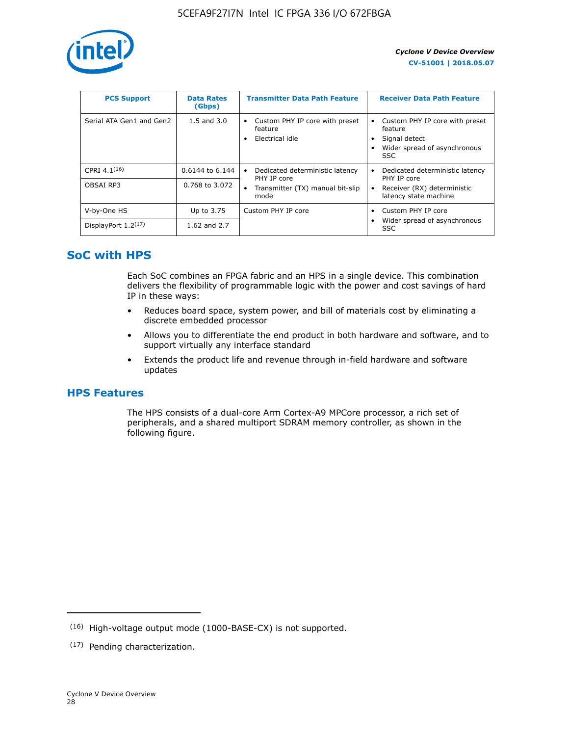

| <b>PCS Support</b>       | <b>Data Rates</b><br>(Gbps) | <b>Transmitter Data Path Feature</b>                         | <b>Receiver Data Path Feature</b>                                                                        |
|--------------------------|-----------------------------|--------------------------------------------------------------|----------------------------------------------------------------------------------------------------------|
| Serial ATA Gen1 and Gen2 | $1.5$ and $3.0$             | Custom PHY IP core with preset<br>feature<br>Electrical idle | Custom PHY IP core with preset<br>feature<br>Signal detect<br>Wider spread of asynchronous<br><b>SSC</b> |
| CPRI 4.1 $(16)$          | $0.6144$ to 6.144           | Dedicated deterministic latency<br>٠<br>PHY IP core          | Dedicated deterministic latency<br>PHY IP core                                                           |
| OBSAI RP3                | 0.768 to 3.072              | Transmitter (TX) manual bit-slip<br>٠<br>mode                | Receiver (RX) deterministic<br>latency state machine                                                     |
| V-by-One HS              | Up to 3.75                  | Custom PHY IP core                                           | Custom PHY IP core                                                                                       |
| DisplayPort $1.2^{(17)}$ | 1.62 and $2.7$              |                                                              | Wider spread of asynchronous<br><b>SSC</b>                                                               |

## **SoC with HPS**

Each SoC combines an FPGA fabric and an HPS in a single device. This combination delivers the flexibility of programmable logic with the power and cost savings of hard IP in these ways:

- Reduces board space, system power, and bill of materials cost by eliminating a discrete embedded processor
- Allows you to differentiate the end product in both hardware and software, and to support virtually any interface standard
- Extends the product life and revenue through in-field hardware and software updates

## **HPS Features**

The HPS consists of a dual-core Arm Cortex-A9 MPCore processor, a rich set of peripherals, and a shared multiport SDRAM memory controller, as shown in the following figure.

<sup>(16)</sup> High-voltage output mode (1000-BASE-CX) is not supported.

<sup>(17)</sup> Pending characterization.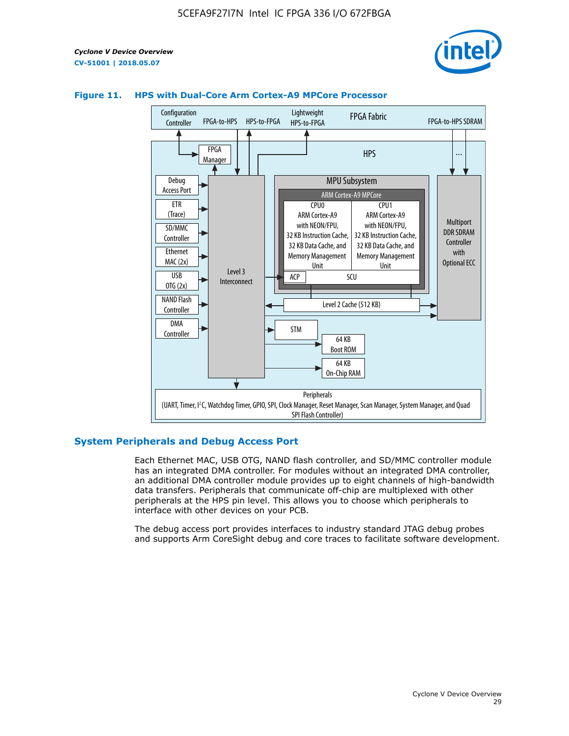



#### **Figure 11. HPS with Dual-Core Arm Cortex-A9 MPCore Processor**

#### **System Peripherals and Debug Access Port**

Each Ethernet MAC, USB OTG, NAND flash controller, and SD/MMC controller module has an integrated DMA controller. For modules without an integrated DMA controller, an additional DMA controller module provides up to eight channels of high-bandwidth data transfers. Peripherals that communicate off-chip are multiplexed with other peripherals at the HPS pin level. This allows you to choose which peripherals to interface with other devices on your PCB.

The debug access port provides interfaces to industry standard JTAG debug probes and supports Arm CoreSight debug and core traces to facilitate software development.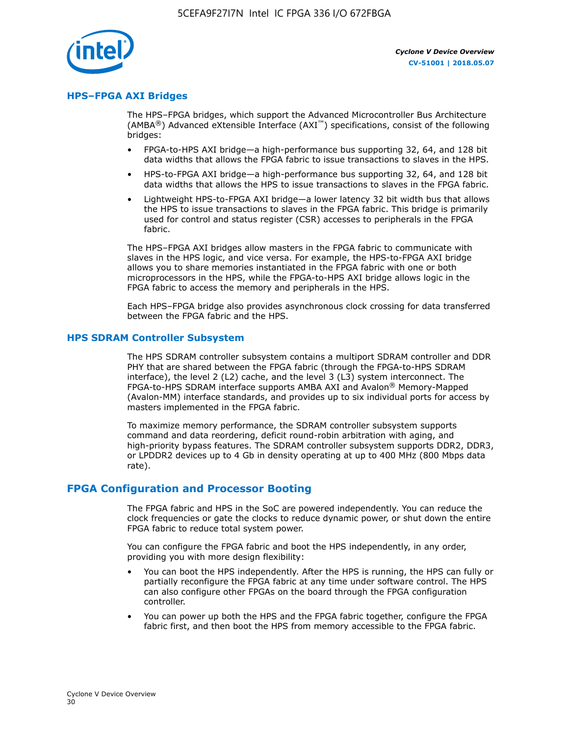

#### **HPS–FPGA AXI Bridges**

The HPS–FPGA bridges, which support the Advanced Microcontroller Bus Architecture (AMBA<sup>®</sup>) Advanced eXtensible Interface (AXI<sup>™</sup>) specifications, consist of the following bridges:

- FPGA-to-HPS AXI bridge—a high-performance bus supporting 32, 64, and 128 bit data widths that allows the FPGA fabric to issue transactions to slaves in the HPS.
- HPS-to-FPGA AXI bridge—a high-performance bus supporting 32, 64, and 128 bit data widths that allows the HPS to issue transactions to slaves in the FPGA fabric.
- Lightweight HPS-to-FPGA AXI bridge—a lower latency 32 bit width bus that allows the HPS to issue transactions to slaves in the FPGA fabric. This bridge is primarily used for control and status register (CSR) accesses to peripherals in the FPGA fabric.

The HPS–FPGA AXI bridges allow masters in the FPGA fabric to communicate with slaves in the HPS logic, and vice versa. For example, the HPS-to-FPGA AXI bridge allows you to share memories instantiated in the FPGA fabric with one or both microprocessors in the HPS, while the FPGA-to-HPS AXI bridge allows logic in the FPGA fabric to access the memory and peripherals in the HPS.

Each HPS–FPGA bridge also provides asynchronous clock crossing for data transferred between the FPGA fabric and the HPS.

#### **HPS SDRAM Controller Subsystem**

The HPS SDRAM controller subsystem contains a multiport SDRAM controller and DDR PHY that are shared between the FPGA fabric (through the FPGA-to-HPS SDRAM interface), the level 2 (L2) cache, and the level 3 (L3) system interconnect. The FPGA-to-HPS SDRAM interface supports AMBA AXI and Avalon® Memory-Mapped (Avalon-MM) interface standards, and provides up to six individual ports for access by masters implemented in the FPGA fabric.

To maximize memory performance, the SDRAM controller subsystem supports command and data reordering, deficit round-robin arbitration with aging, and high-priority bypass features. The SDRAM controller subsystem supports DDR2, DDR3, or LPDDR2 devices up to 4 Gb in density operating at up to 400 MHz (800 Mbps data rate).

#### **FPGA Configuration and Processor Booting**

The FPGA fabric and HPS in the SoC are powered independently. You can reduce the clock frequencies or gate the clocks to reduce dynamic power, or shut down the entire FPGA fabric to reduce total system power.

You can configure the FPGA fabric and boot the HPS independently, in any order, providing you with more design flexibility:

- You can boot the HPS independently. After the HPS is running, the HPS can fully or partially reconfigure the FPGA fabric at any time under software control. The HPS can also configure other FPGAs on the board through the FPGA configuration controller.
- You can power up both the HPS and the FPGA fabric together, configure the FPGA fabric first, and then boot the HPS from memory accessible to the FPGA fabric.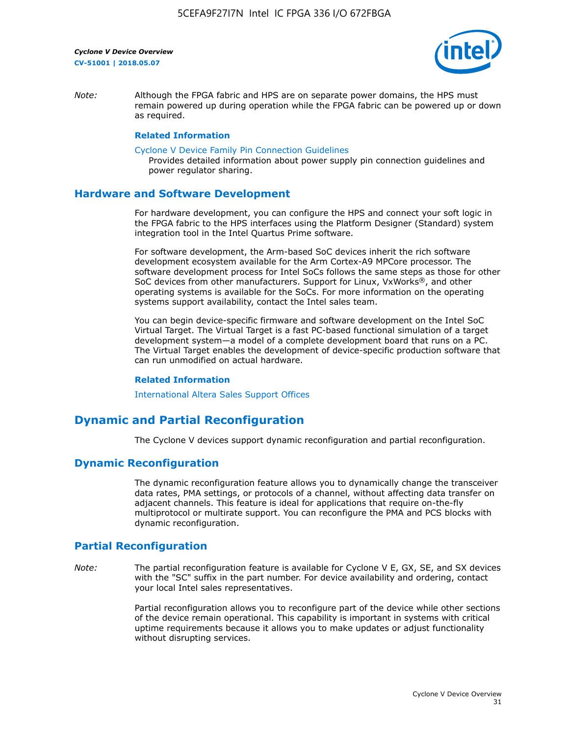

*Note:* Although the FPGA fabric and HPS are on separate power domains, the HPS must remain powered up during operation while the FPGA fabric can be powered up or down as required.

#### **Related Information**

[Cyclone V Device Family Pin Connection Guidelines](https://www.altera.com/content/dam/altera-www/global/en_US/pdfs/literature/dp/cyclone-v/pcg-01014.pdf)

Provides detailed information about power supply pin connection guidelines and power regulator sharing.

#### **Hardware and Software Development**

For hardware development, you can configure the HPS and connect your soft logic in the FPGA fabric to the HPS interfaces using the Platform Designer (Standard) system integration tool in the Intel Quartus Prime software.

For software development, the Arm-based SoC devices inherit the rich software development ecosystem available for the Arm Cortex-A9 MPCore processor. The software development process for Intel SoCs follows the same steps as those for other SoC devices from other manufacturers. Support for Linux, VxWorks®, and other operating systems is available for the SoCs. For more information on the operating systems support availability, contact the Intel sales team.

You can begin device-specific firmware and software development on the Intel SoC Virtual Target. The Virtual Target is a fast PC-based functional simulation of a target development system—a model of a complete development board that runs on a PC. The Virtual Target enables the development of device-specific production software that can run unmodified on actual hardware.

#### **Related Information**

[International Altera Sales Support Offices](https://www.altera.com/about/contact/contact/international-altera-sales-offices.html)

## **Dynamic and Partial Reconfiguration**

The Cyclone V devices support dynamic reconfiguration and partial reconfiguration.

#### **Dynamic Reconfiguration**

The dynamic reconfiguration feature allows you to dynamically change the transceiver data rates, PMA settings, or protocols of a channel, without affecting data transfer on adjacent channels. This feature is ideal for applications that require on-the-fly multiprotocol or multirate support. You can reconfigure the PMA and PCS blocks with dynamic reconfiguration.

## **Partial Reconfiguration**

*Note:* The partial reconfiguration feature is available for Cyclone V E, GX, SE, and SX devices with the "SC" suffix in the part number. For device availability and ordering, contact your local Intel sales representatives.

> Partial reconfiguration allows you to reconfigure part of the device while other sections of the device remain operational. This capability is important in systems with critical uptime requirements because it allows you to make updates or adjust functionality without disrupting services.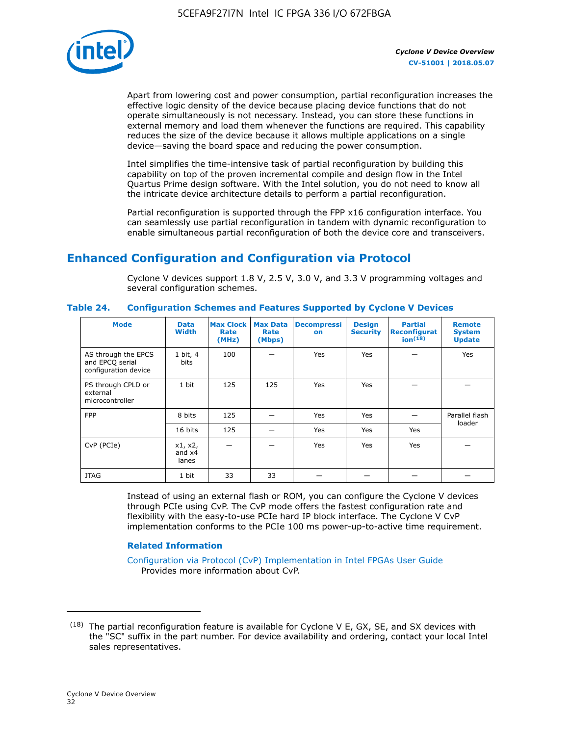

Apart from lowering cost and power consumption, partial reconfiguration increases the effective logic density of the device because placing device functions that do not operate simultaneously is not necessary. Instead, you can store these functions in external memory and load them whenever the functions are required. This capability reduces the size of the device because it allows multiple applications on a single device—saving the board space and reducing the power consumption.

Intel simplifies the time-intensive task of partial reconfiguration by building this capability on top of the proven incremental compile and design flow in the Intel Quartus Prime design software. With the Intel solution, you do not need to know all the intricate device architecture details to perform a partial reconfiguration.

Partial reconfiguration is supported through the FPP x16 configuration interface. You can seamlessly use partial reconfiguration in tandem with dynamic reconfiguration to enable simultaneous partial reconfiguration of both the device core and transceivers.

## **Enhanced Configuration and Configuration via Protocol**

Cyclone V devices support 1.8 V, 2.5 V, 3.0 V, and 3.3 V programming voltages and several configuration schemes.

| <b>Mode</b>                                                    | <b>Data</b><br>Width         | Max Clock  <br>Rate<br>(MHz) | <b>Max Data</b><br>Rate<br>(Mbps) | <b>Decompressi</b><br>on | <b>Design</b><br><b>Security</b> | <b>Partial</b><br>Reconfigurat<br>ion <sup>(18)</sup> | <b>Remote</b><br><b>System</b><br><b>Update</b> |
|----------------------------------------------------------------|------------------------------|------------------------------|-----------------------------------|--------------------------|----------------------------------|-------------------------------------------------------|-------------------------------------------------|
| AS through the EPCS<br>and EPCQ serial<br>configuration device | 1 bit, 4<br>bits             | 100                          |                                   | Yes                      | Yes                              |                                                       | Yes                                             |
| PS through CPLD or<br>external<br>microcontroller              | 1 bit                        | 125                          | 125                               | Yes                      | Yes                              |                                                       |                                                 |
| <b>FPP</b>                                                     | 8 bits                       | 125                          |                                   | Yes                      | Yes                              |                                                       | Parallel flash                                  |
|                                                                | 16 bits                      | 125                          |                                   | Yes                      | Yes                              | Yes                                                   | loader                                          |
| CvP (PCIe)                                                     | x1, x2,<br>and $x4$<br>lanes |                              |                                   | Yes                      | Yes                              | Yes                                                   |                                                 |
| <b>JTAG</b>                                                    | 1 bit                        | 33                           | 33                                |                          |                                  |                                                       |                                                 |

**Table 24. Configuration Schemes and Features Supported by Cyclone V Devices**

Instead of using an external flash or ROM, you can configure the Cyclone V devices through PCIe using CvP. The CvP mode offers the fastest configuration rate and flexibility with the easy-to-use PCIe hard IP block interface. The Cyclone V CvP implementation conforms to the PCIe 100 ms power-up-to-active time requirement.

#### **Related Information**

[Configuration via Protocol \(CvP\) Implementation in Intel FPGAs User Guide](https://www.altera.com/documentation/nik1412546950394.html#nik1412546833714) Provides more information about CvP.

 $(18)$  The partial reconfiguration feature is available for Cyclone V E, GX, SE, and SX devices with the "SC" suffix in the part number. For device availability and ordering, contact your local Intel sales representatives.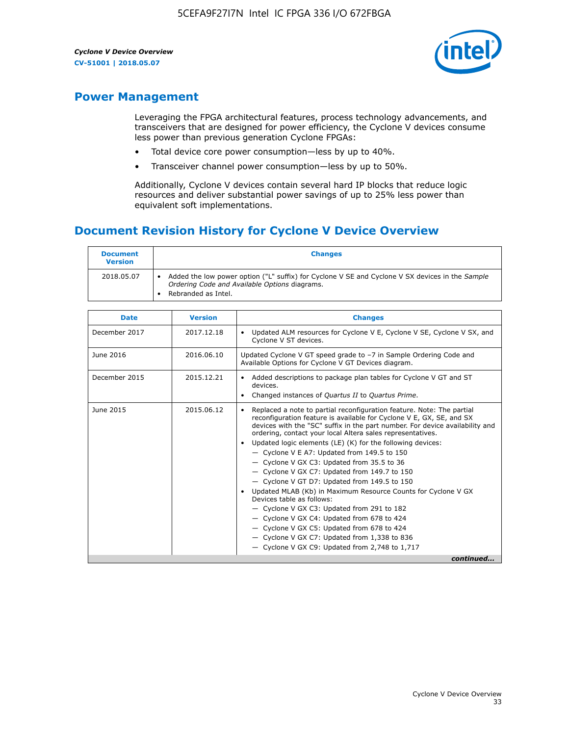

## **Power Management**

Leveraging the FPGA architectural features, process technology advancements, and transceivers that are designed for power efficiency, the Cyclone V devices consume less power than previous generation Cyclone FPGAs:

- Total device core power consumption—less by up to 40%.
- Transceiver channel power consumption—less by up to 50%.

Additionally, Cyclone V devices contain several hard IP blocks that reduce logic resources and deliver substantial power savings of up to 25% less power than equivalent soft implementations.

## **Document Revision History for Cyclone V Device Overview**

| <b>Document</b><br><b>Version</b> | <b>Changes</b>                                                                                                                                                          |
|-----------------------------------|-------------------------------------------------------------------------------------------------------------------------------------------------------------------------|
| 2018.05.07                        | Added the low power option ("L" suffix) for Cyclone V SE and Cyclone V SX devices in the Sample<br>Ordering Code and Available Options diagrams.<br>Rebranded as Intel. |

| <b>Date</b>   | <b>Version</b> | <b>Changes</b>                                                                                                                                                                                                                                                                                                                                                                                                                                                                                                                                                                                                                                                                                                                                                                                                                                                                                                    |
|---------------|----------------|-------------------------------------------------------------------------------------------------------------------------------------------------------------------------------------------------------------------------------------------------------------------------------------------------------------------------------------------------------------------------------------------------------------------------------------------------------------------------------------------------------------------------------------------------------------------------------------------------------------------------------------------------------------------------------------------------------------------------------------------------------------------------------------------------------------------------------------------------------------------------------------------------------------------|
| December 2017 | 2017.12.18     | Updated ALM resources for Cyclone V E, Cyclone V SE, Cyclone V SX, and<br>Cyclone V ST devices.                                                                                                                                                                                                                                                                                                                                                                                                                                                                                                                                                                                                                                                                                                                                                                                                                   |
| June 2016     | 2016.06.10     | Updated Cyclone V GT speed grade to -7 in Sample Ordering Code and<br>Available Options for Cyclone V GT Devices diagram.                                                                                                                                                                                                                                                                                                                                                                                                                                                                                                                                                                                                                                                                                                                                                                                         |
| December 2015 | 2015.12.21     | Added descriptions to package plan tables for Cyclone V GT and ST<br>devices.<br>Changed instances of Quartus II to Quartus Prime.<br>$\bullet$                                                                                                                                                                                                                                                                                                                                                                                                                                                                                                                                                                                                                                                                                                                                                                   |
| June 2015     | 2015.06.12     | Replaced a note to partial reconfiguration feature. Note: The partial<br>reconfiguration feature is available for Cyclone V E, GX, SE, and SX<br>devices with the "SC" suffix in the part number. For device availability and<br>ordering, contact your local Altera sales representatives.<br>Updated logic elements (LE) (K) for the following devices:<br>$\bullet$<br>$-$ Cyclone V E A7: Updated from 149.5 to 150<br>- Cyclone V GX C3: Updated from 35.5 to 36<br>- Cyclone V GX C7: Updated from 149.7 to 150<br>- Cyclone V GT D7: Updated from 149.5 to 150<br>Updated MLAB (Kb) in Maximum Resource Counts for Cyclone V GX<br>Devices table as follows:<br>- Cyclone V GX C3: Updated from 291 to 182<br>- Cyclone V GX C4: Updated from 678 to 424<br>- Cyclone V GX C5: Updated from 678 to 424<br>- Cyclone V GX C7: Updated from 1,338 to 836<br>$-$ Cyclone V GX C9: Updated from 2,748 to 1,717 |
|               |                | continued                                                                                                                                                                                                                                                                                                                                                                                                                                                                                                                                                                                                                                                                                                                                                                                                                                                                                                         |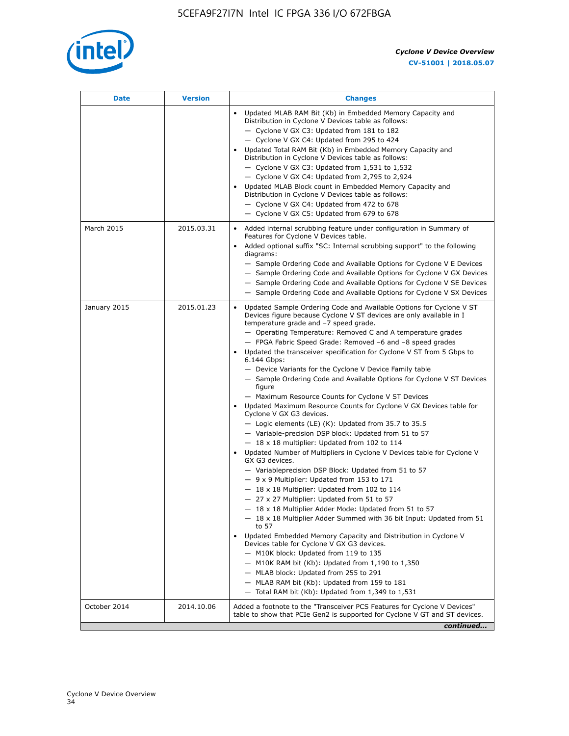

| Date         | <b>Version</b> | <b>Changes</b>                                                                                                                                                                                                                                                                                                                                                                                                                                                                                                                                                                                                                                                                                                                                                                                                                                                                                                                                                                                                                                                                                                                                                                                                                                                                                                                                                                                                                                                                                                                                                                                                                                                                                                  |
|--------------|----------------|-----------------------------------------------------------------------------------------------------------------------------------------------------------------------------------------------------------------------------------------------------------------------------------------------------------------------------------------------------------------------------------------------------------------------------------------------------------------------------------------------------------------------------------------------------------------------------------------------------------------------------------------------------------------------------------------------------------------------------------------------------------------------------------------------------------------------------------------------------------------------------------------------------------------------------------------------------------------------------------------------------------------------------------------------------------------------------------------------------------------------------------------------------------------------------------------------------------------------------------------------------------------------------------------------------------------------------------------------------------------------------------------------------------------------------------------------------------------------------------------------------------------------------------------------------------------------------------------------------------------------------------------------------------------------------------------------------------------|
|              |                | Updated MLAB RAM Bit (Kb) in Embedded Memory Capacity and<br>Distribution in Cyclone V Devices table as follows:<br>- Cyclone V GX C3: Updated from 181 to 182<br>- Cyclone V GX C4: Updated from 295 to 424<br>Updated Total RAM Bit (Kb) in Embedded Memory Capacity and<br>Distribution in Cyclone V Devices table as follows:<br>$-$ Cyclone V GX C3: Updated from 1,531 to 1,532<br>- Cyclone V GX C4: Updated from 2,795 to 2,924<br>Updated MLAB Block count in Embedded Memory Capacity and<br>Distribution in Cyclone V Devices table as follows:<br>- Cyclone V GX C4: Updated from 472 to 678<br>- Cyclone V GX C5: Updated from 679 to 678                                                                                                                                                                                                                                                                                                                                                                                                                                                                                                                                                                                                                                                                                                                                                                                                                                                                                                                                                                                                                                                          |
| March 2015   | 2015.03.31     | Added internal scrubbing feature under configuration in Summary of<br>Features for Cyclone V Devices table.<br>Added optional suffix "SC: Internal scrubbing support" to the following<br>diagrams:<br>- Sample Ordering Code and Available Options for Cyclone V E Devices<br>- Sample Ordering Code and Available Options for Cyclone V GX Devices<br>- Sample Ordering Code and Available Options for Cyclone V SE Devices<br>- Sample Ordering Code and Available Options for Cyclone V SX Devices                                                                                                                                                                                                                                                                                                                                                                                                                                                                                                                                                                                                                                                                                                                                                                                                                                                                                                                                                                                                                                                                                                                                                                                                          |
| January 2015 | 2015.01.23     | Updated Sample Ordering Code and Available Options for Cyclone V ST<br>Devices figure because Cyclone V ST devices are only available in I<br>temperature grade and -7 speed grade.<br>- Operating Temperature: Removed C and A temperature grades<br>- FPGA Fabric Speed Grade: Removed -6 and -8 speed grades<br>Updated the transceiver specification for Cyclone V ST from 5 Gbps to<br>6.144 Gbps:<br>- Device Variants for the Cyclone V Device Family table<br>- Sample Ordering Code and Available Options for Cyclone V ST Devices<br>figure<br>- Maximum Resource Counts for Cyclone V ST Devices<br>• Updated Maximum Resource Counts for Cyclone V GX Devices table for<br>Cyclone V GX G3 devices.<br>$-$ Logic elements (LE) (K): Updated from 35.7 to 35.5<br>- Variable-precision DSP block: Updated from 51 to 57<br>$-18 \times 18$ multiplier: Updated from 102 to 114<br>Updated Number of Multipliers in Cyclone V Devices table for Cyclone V<br>GX G3 devices.<br>- Variableprecision DSP Block: Updated from 51 to 57<br>$-9x9$ Multiplier: Updated from 153 to 171<br>$-18 \times 18$ Multiplier: Updated from 102 to 114<br>- 27 x 27 Multiplier: Updated from 51 to 57<br>18 x 18 Multiplier Adder Mode: Updated from 51 to 57<br>$-18 \times 18$ Multiplier Adder Summed with 36 bit Input: Updated from 51<br>to 57<br>Updated Embedded Memory Capacity and Distribution in Cyclone V<br>Devices table for Cyclone V GX G3 devices.<br>- M10K block: Updated from 119 to 135<br>$-$ M10K RAM bit (Kb): Updated from 1,190 to 1,350<br>- MLAB block: Updated from 255 to 291<br>- MLAB RAM bit (Kb): Updated from 159 to 181<br>$-$ Total RAM bit (Kb): Updated from 1,349 to 1,531 |
| October 2014 | 2014.10.06     | Added a footnote to the "Transceiver PCS Features for Cyclone V Devices"<br>table to show that PCIe Gen2 is supported for Cyclone V GT and ST devices.                                                                                                                                                                                                                                                                                                                                                                                                                                                                                                                                                                                                                                                                                                                                                                                                                                                                                                                                                                                                                                                                                                                                                                                                                                                                                                                                                                                                                                                                                                                                                          |
|              |                | continued                                                                                                                                                                                                                                                                                                                                                                                                                                                                                                                                                                                                                                                                                                                                                                                                                                                                                                                                                                                                                                                                                                                                                                                                                                                                                                                                                                                                                                                                                                                                                                                                                                                                                                       |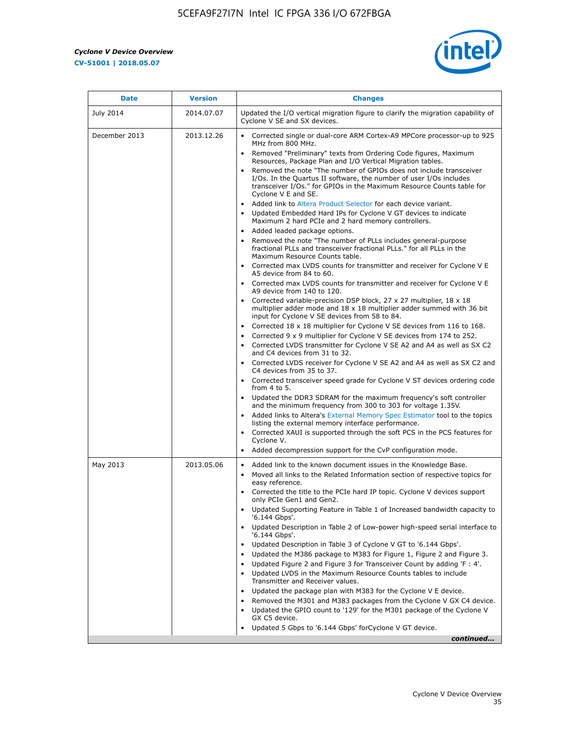r



| <b>Date</b>      | <b>Version</b> | <b>Changes</b>                                                                                                                                                                                                                                                                                                                                                                                                                                                                                                                                                                                                                                                                                                                                                                                                                                                                                                                                                                                                                                                                                                                                                                                                                                                                                                                                                                                                                                      |
|------------------|----------------|-----------------------------------------------------------------------------------------------------------------------------------------------------------------------------------------------------------------------------------------------------------------------------------------------------------------------------------------------------------------------------------------------------------------------------------------------------------------------------------------------------------------------------------------------------------------------------------------------------------------------------------------------------------------------------------------------------------------------------------------------------------------------------------------------------------------------------------------------------------------------------------------------------------------------------------------------------------------------------------------------------------------------------------------------------------------------------------------------------------------------------------------------------------------------------------------------------------------------------------------------------------------------------------------------------------------------------------------------------------------------------------------------------------------------------------------------------|
| <b>July 2014</b> | 2014.07.07     | Updated the I/O vertical migration figure to clarify the migration capability of<br>Cyclone V SE and SX devices.                                                                                                                                                                                                                                                                                                                                                                                                                                                                                                                                                                                                                                                                                                                                                                                                                                                                                                                                                                                                                                                                                                                                                                                                                                                                                                                                    |
| December 2013    | 2013.12.26     | • Corrected single or dual-core ARM Cortex-A9 MPCore processor-up to 925<br>MHz from 800 MHz.<br>Removed "Preliminary" texts from Ordering Code figures, Maximum<br>$\bullet$<br>Resources, Package Plan and I/O Vertical Migration tables.<br>Removed the note "The number of GPIOs does not include transceiver<br>I/Os. In the Quartus II software, the number of user I/Os includes<br>transceiver I/Os." for GPIOs in the Maximum Resource Counts table for<br>Cyclone V E and SE.<br>Added link to Altera Product Selector for each device variant.<br>• Updated Embedded Hard IPs for Cyclone V GT devices to indicate<br>Maximum 2 hard PCIe and 2 hard memory controllers.<br>• Added leaded package options.<br>Removed the note "The number of PLLs includes general-purpose                                                                                                                                                                                                                                                                                                                                                                                                                                                                                                                                                                                                                                                             |
|                  |                | fractional PLLs and transceiver fractional PLLs." for all PLLs in the<br>Maximum Resource Counts table.<br>• Corrected max LVDS counts for transmitter and receiver for Cyclone V E<br>A5 device from 84 to 60.<br>• Corrected max LVDS counts for transmitter and receiver for Cyclone V E<br>A9 device from 140 to 120.<br>Corrected variable-precision DSP block, 27 x 27 multiplier, 18 x 18<br>multiplier adder mode and $18 \times 18$ multiplier adder summed with 36 bit<br>input for Cyclone V SE devices from 58 to 84.<br>Corrected 18 x 18 multiplier for Cyclone V SE devices from 116 to 168.<br>Corrected 9 x 9 multiplier for Cyclone V SE devices from 174 to 252.<br>Corrected LVDS transmitter for Cyclone V SE A2 and A4 as well as SX C2<br>and C4 devices from 31 to 32.<br>• Corrected LVDS receiver for Cyclone V SE A2 and A4 as well as SX C2 and<br>C4 devices from 35 to 37.<br>• Corrected transceiver speed grade for Cyclone V ST devices ordering code<br>from $4$ to $5$ .<br>• Updated the DDR3 SDRAM for the maximum frequency's soft controller<br>and the minimum frequency from 300 to 303 for voltage 1.35V.<br>• Added links to Altera's External Memory Spec Estimator tool to the topics<br>listing the external memory interface performance.<br>• Corrected XAUI is supported through the soft PCS in the PCS features for<br>Cyclone V.<br>Added decompression support for the CvP configuration mode. |
| May 2013         | 2013.05.06     | Added link to the known document issues in the Knowledge Base.<br>$\bullet$<br>Moved all links to the Related Information section of respective topics for<br>$\bullet$<br>easy reference.<br>• Corrected the title to the PCIe hard IP topic. Cyclone V devices support<br>only PCIe Gen1 and Gen2.<br>Updated Supporting Feature in Table 1 of Increased bandwidth capacity to<br>$\bullet$<br>'6.144 Gbps'.<br>Updated Description in Table 2 of Low-power high-speed serial interface to<br>'6.144 Gbps'.<br>Updated Description in Table 3 of Cyclone V GT to '6.144 Gbps'.<br>Updated the M386 package to M383 for Figure 1, Figure 2 and Figure 3.<br>$\bullet$<br>Updated Figure 2 and Figure 3 for Transceiver Count by adding 'F : 4'.<br>$\bullet$<br>Updated LVDS in the Maximum Resource Counts tables to include<br>Transmitter and Receiver values.<br>Updated the package plan with M383 for the Cyclone V E device.<br>$\bullet$<br>Removed the M301 and M383 packages from the Cyclone V GX C4 device.<br>Updated the GPIO count to '129' for the M301 package of the Cyclone V<br>GX C5 device.<br>Updated 5 Gbps to '6.144 Gbps' for Cyclone V GT device.<br>continued                                                                                                                                                                                                                                                          |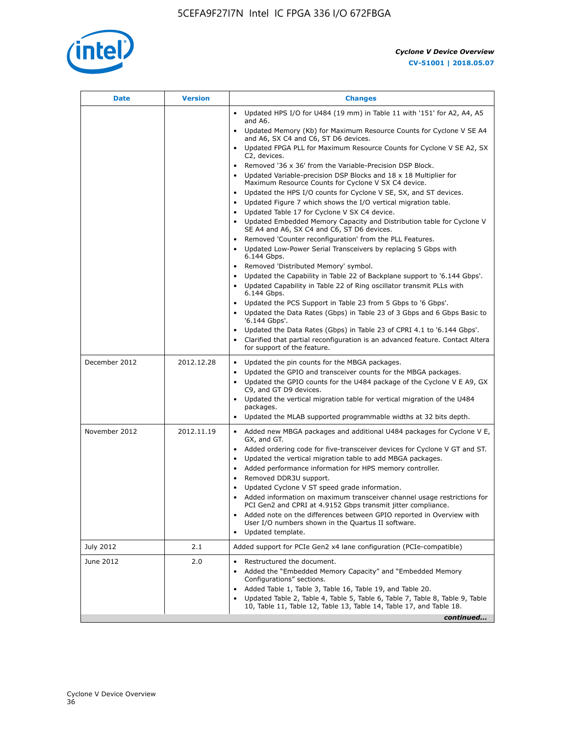

| Date          | <b>Version</b> | <b>Changes</b>                                                                                                                                      |
|---------------|----------------|-----------------------------------------------------------------------------------------------------------------------------------------------------|
|               |                | • Updated HPS I/O for U484 (19 mm) in Table 11 with '151' for A2, A4, A5<br>and A6.                                                                 |
|               |                | Updated Memory (Kb) for Maximum Resource Counts for Cyclone V SE A4<br>and A6, SX C4 and C6, ST D6 devices.                                         |
|               |                | Updated FPGA PLL for Maximum Resource Counts for Cyclone V SE A2, SX<br>C2, devices.                                                                |
|               |                | Removed '36 x 36' from the Variable-Precision DSP Block.                                                                                            |
|               |                | Updated Variable-precision DSP Blocks and 18 x 18 Multiplier for<br>Maximum Resource Counts for Cyclone V SX C4 device.                             |
|               |                | • Updated the HPS I/O counts for Cyclone V SE, SX, and ST devices.                                                                                  |
|               |                | Updated Figure 7 which shows the I/O vertical migration table.<br>Updated Table 17 for Cyclone V SX C4 device.                                      |
|               |                | Updated Embedded Memory Capacity and Distribution table for Cyclone V<br>$\bullet$                                                                  |
|               |                | SE A4 and A6, SX C4 and C6, ST D6 devices.                                                                                                          |
|               |                | Removed 'Counter reconfiguration' from the PLL Features.                                                                                            |
|               |                | Updated Low-Power Serial Transceivers by replacing 5 Gbps with<br>6.144 Gbps.                                                                       |
|               |                | Removed 'Distributed Memory' symbol.<br>$\bullet$                                                                                                   |
|               |                | Updated the Capability in Table 22 of Backplane support to '6.144 Gbps'.<br>• Updated Capability in Table 22 of Ring oscillator transmit PLLs with  |
|               |                | 6.144 Gbps.                                                                                                                                         |
|               |                | Updated the PCS Support in Table 23 from 5 Gbps to '6 Gbps'.                                                                                        |
|               |                | Updated the Data Rates (Gbps) in Table 23 of 3 Gbps and 6 Gbps Basic to<br>'6.144 Gbps'.                                                            |
|               |                | • Updated the Data Rates (Gbps) in Table 23 of CPRI 4.1 to '6.144 Gbps'.                                                                            |
|               |                | Clarified that partial reconfiguration is an advanced feature. Contact Altera<br>for support of the feature.                                        |
| December 2012 | 2012.12.28     | Updated the pin counts for the MBGA packages.<br>$\bullet$                                                                                          |
|               |                | Updated the GPIO and transceiver counts for the MBGA packages.<br>٠                                                                                 |
|               |                | Updated the GPIO counts for the U484 package of the Cyclone V E A9, GX<br>C9, and GT D9 devices.                                                    |
|               |                | • Updated the vertical migration table for vertical migration of the U484                                                                           |
|               |                | packages.                                                                                                                                           |
|               |                | Updated the MLAB supported programmable widths at 32 bits depth.                                                                                    |
| November 2012 | 2012.11.19     | • Added new MBGA packages and additional U484 packages for Cyclone V E,<br>GX, and GT.                                                              |
|               |                | • Added ordering code for five-transceiver devices for Cyclone V GT and ST.                                                                         |
|               |                | Updated the vertical migration table to add MBGA packages.                                                                                          |
|               |                | Added performance information for HPS memory controller.<br>$\bullet$                                                                               |
|               |                | Removed DDR3U support.<br>$\bullet$                                                                                                                 |
|               |                | Updated Cyclone V ST speed grade information.<br>Added information on maximum transceiver channel usage restrictions for                            |
|               |                | PCI Gen2 and CPRI at 4.9152 Gbps transmit jitter compliance.                                                                                        |
|               |                | Added note on the differences between GPIO reported in Overview with                                                                                |
|               |                | User I/O numbers shown in the Quartus II software.<br>Updated template.                                                                             |
| July 2012     | 2.1            | Added support for PCIe Gen2 x4 lane configuration (PCIe-compatible)                                                                                 |
| June 2012     | 2.0            | Restructured the document.                                                                                                                          |
|               |                | Added the "Embedded Memory Capacity" and "Embedded Memory<br>Configurations" sections.                                                              |
|               |                | Added Table 1, Table 3, Table 16, Table 19, and Table 20.                                                                                           |
|               |                | Updated Table 2, Table 4, Table 5, Table 6, Table 7, Table 8, Table 9, Table<br>10, Table 11, Table 12, Table 13, Table 14, Table 17, and Table 18. |
|               |                | continued                                                                                                                                           |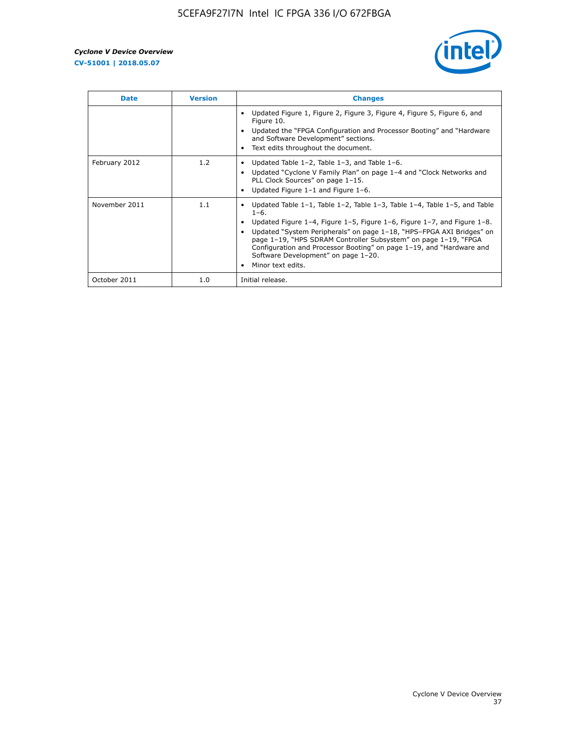

| <b>Date</b>   | <b>Version</b> | <b>Changes</b>                                                                                                                                                                                                                                                                                                                                                                                                                                                             |
|---------------|----------------|----------------------------------------------------------------------------------------------------------------------------------------------------------------------------------------------------------------------------------------------------------------------------------------------------------------------------------------------------------------------------------------------------------------------------------------------------------------------------|
|               |                | Updated Figure 1, Figure 2, Figure 3, Figure 4, Figure 5, Figure 6, and<br>Figure 10.<br>Updated the "FPGA Configuration and Processor Booting" and "Hardware"<br>and Software Development" sections.<br>Text edits throughout the document.                                                                                                                                                                                                                               |
| February 2012 | 1.2            | Updated Table $1-2$ , Table $1-3$ , and Table $1-6$ .<br>Updated "Cyclone V Family Plan" on page 1-4 and "Clock Networks and<br>PLL Clock Sources" on page 1-15.<br>Updated Figure $1-1$ and Figure $1-6$ .                                                                                                                                                                                                                                                                |
| November 2011 | 1.1            | Updated Table $1-1$ , Table $1-2$ , Table $1-3$ , Table $1-4$ , Table $1-5$ , and Table<br>$1 - 6.$<br>Updated Figure 1-4, Figure 1-5, Figure 1-6, Figure 1-7, and Figure 1-8.<br>Updated "System Peripherals" on page 1-18, "HPS-FPGA AXI Bridges" on<br>page 1-19, "HPS SDRAM Controller Subsystem" on page 1-19, "FPGA<br>Configuration and Processor Booting" on page 1-19, and "Hardware and<br>Software Development" on page 1-20.<br>Minor text edits.<br>$\bullet$ |
| October 2011  | 1.0            | Initial release.                                                                                                                                                                                                                                                                                                                                                                                                                                                           |